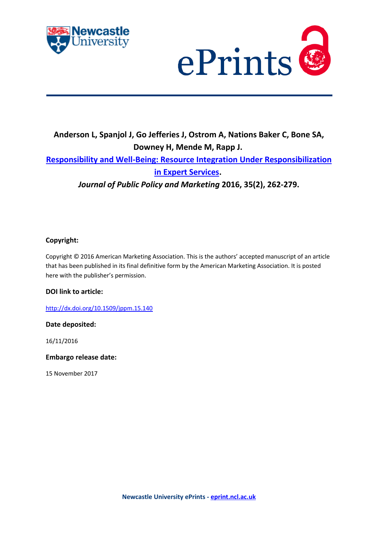



# **Anderson L, Spanjol J, Go Jefferies J, Ostrom A, Nations Baker C, Bone SA, Downey H, Mende M, Rapp J. [Responsibility and Well-Being: Resource Integration Under Responsibilization](https://myimpact.ncl.ac.uk/ViewPublication.aspx?id=228773)  [in Expert Services.](https://myimpact.ncl.ac.uk/ViewPublication.aspx?id=228773)**

*Journal of Public Policy and Marketing* **2016, 35(2), 262-279.**

## **Copyright:**

Copyright © 2016 American Marketing Association. This is the authors' accepted manuscript of an article that has been published in its final definitive form by the American Marketing Association. It is posted here with the publisher's permission.

## **DOI link to article:**

<http://dx.doi.org/10.1509/jppm.15.140>

## **Date deposited:**

16/11/2016

**Embargo release date:**

15 November 2017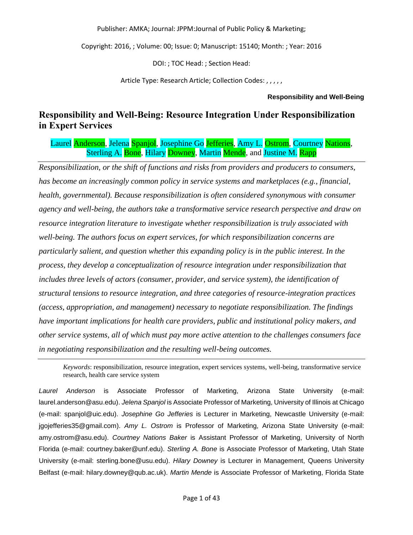Copyright: 2016, ; Volume: 00; Issue: 0; Manuscript: 15140; Month: ; Year: 2016

DOI: ; TOC Head: ; Section Head:

Article Type: Research Article; Collection Codes: , , , , ,

## **Responsibility and Well-Being**

## **Responsibility and Well-Being: Resource Integration Under Responsibilization in Expert Services**

Laurel Anderson, Jelena Spanjol, Josephine Go Jefferies, Amy L. Ostrom, Courtney Nations, Sterling A. Bone, Hilary Downey, Martin Mende, and Justine M. Rapp

*Responsibilization, or the shift of functions and risks from providers and producers to consumers, has become an increasingly common policy in service systems and marketplaces (e.g., financial, health, governmental). Because responsibilization is often considered synonymous with consumer agency and well-being, the authors take a transformative service research perspective and draw on resource integration literature to investigate whether responsibilization is truly associated with well-being. The authors focus on expert services, for which responsibilization concerns are particularly salient, and question whether this expanding policy is in the public interest. In the process, they develop a conceptualization of resource integration under responsibilization that includes three levels of actors (consumer, provider, and service system), the identification of structural tensions to resource integration, and three categories of resource-integration practices (access, appropriation, and management) necessary to negotiate responsibilization. The findings have important implications for health care providers, public and institutional policy makers, and other service systems, all of which must pay more active attention to the challenges consumers face in negotiating responsibilization and the resulting well-being outcomes.*

*Keywords*: responsibilization, resource integration, expert services systems, well-being, transformative service research, health care service system

*Laurel Anderson* is Associate Professor of Marketing, Arizona State University (e-mail: laurel.anderson@asu.edu). *Jelena Spanjol* is Associate Professor of Marketing, University of Illinois at Chicago (e-mail: spanjol@uic.edu). *Josephine Go Jefferies* is Lecturer in Marketing, Newcastle University (e-mail: jgojefferies35@gmail.com). *Amy L. Ostrom* is Professor of Marketing, Arizona State University (e-mail: amy.ostrom@asu.edu). *Courtney Nations Baker* is Assistant Professor of Marketing, University of North Florida (e-mail: courtney.baker@unf.edu). *Sterling A. Bone* is Associate Professor of Marketing, Utah State University (e-mail: sterling.bone@usu.edu). *Hilary Downey* is Lecturer in Management, Queens University Belfast (e-mail: hilary.downey@qub.ac.uk). *Martin Mende* is Associate Professor of Marketing, Florida State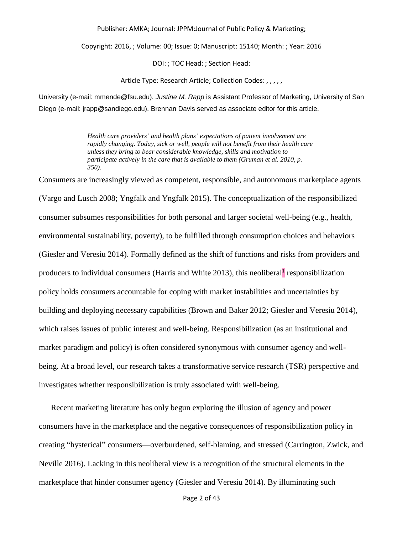Copyright: 2016, ; Volume: 00; Issue: 0; Manuscript: 15140; Month: ; Year: 2016

DOI: ; TOC Head: ; Section Head:

Article Type: Research Article; Collection Codes: , , , , ,

University (e-mail: mmende@fsu.edu). *Justine M. Rapp* is Assistant Professor of Marketing, University of San Diego (e-mail: jrapp@sandiego.edu). Brennan Davis served as associate editor for this article.

> *Health care providers' and health plans' expectations of patient involvement are rapidly changing. Today, sick or well, people will not benefit from their health care unless they bring to bear considerable knowledge, skills and motivation to participate actively in the care that is available to them (Gruman et al. 2010, p. 350).*

Consumers are increasingly viewed as competent, responsible, and autonomous marketplace agents (Vargo and Lusch 2008; Yngfalk and Yngfalk 2015). The conceptualization of the responsibilized consumer subsumes responsibilities for both personal and larger societal well-being (e.g., health, environmental sustainability, poverty), to be fulfilled through consumption choices and behaviors (Giesler and Veresiu 2014). Formally defined as the shift of functions and risks from providers and producers to individual consumers (Harris and White 2013), this neoliberal<sup>1</sup> responsibilization policy holds consumers accountable for coping with market instabilities and uncertainties by building and deploying necessary capabilities (Brown and Baker 2012; Giesler and Veresiu 2014), which raises issues of public interest and well-being. Responsibilization (as an institutional and market paradigm and policy) is often considered synonymous with consumer agency and wellbeing. At a broad level, our research takes a transformative service research (TSR) perspective and investigates whether responsibilization is truly associated with well-being.

Recent marketing literature has only begun exploring the illusion of agency and power consumers have in the marketplace and the negative consequences of responsibilization policy in creating "hysterical" consumers—overburdened, self-blaming, and stressed (Carrington, Zwick, and Neville 2016). Lacking in this neoliberal view is a recognition of the structural elements in the marketplace that hinder consumer agency (Giesler and Veresiu 2014). By illuminating such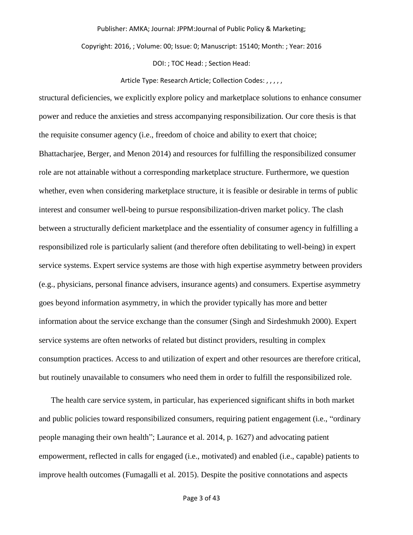Copyright: 2016, ; Volume: 00; Issue: 0; Manuscript: 15140; Month: ; Year: 2016

DOI: ; TOC Head: ; Section Head:

#### Article Type: Research Article; Collection Codes: , , , , ,

structural deficiencies, we explicitly explore policy and marketplace solutions to enhance consumer power and reduce the anxieties and stress accompanying responsibilization. Our core thesis is that the requisite consumer agency (i.e., freedom of choice and ability to exert that choice; Bhattacharjee, Berger, and Menon 2014) and resources for fulfilling the responsibilized consumer role are not attainable without a corresponding marketplace structure. Furthermore, we question whether, even when considering marketplace structure, it is feasible or desirable in terms of public interest and consumer well-being to pursue responsibilization-driven market policy. The clash between a structurally deficient marketplace and the essentiality of consumer agency in fulfilling a responsibilized role is particularly salient (and therefore often debilitating to well-being) in expert service systems. Expert service systems are those with high expertise asymmetry between providers (e.g., physicians, personal finance advisers, insurance agents) and consumers. Expertise asymmetry goes beyond information asymmetry, in which the provider typically has more and better information about the service exchange than the consumer (Singh and Sirdeshmukh 2000). Expert service systems are often networks of related but distinct providers, resulting in complex consumption practices. Access to and utilization of expert and other resources are therefore critical, but routinely unavailable to consumers who need them in order to fulfill the responsibilized role.

The health care service system, in particular, has experienced significant shifts in both market and public policies toward responsibilized consumers, requiring patient engagement (i.e., "ordinary people managing their own health"; Laurance et al. 2014, p. 1627) and advocating patient empowerment, reflected in calls for engaged (i.e., motivated) and enabled (i.e., capable) patients to improve health outcomes (Fumagalli et al. 2015). Despite the positive connotations and aspects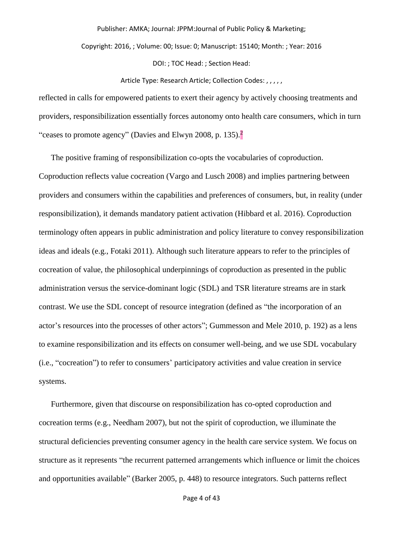Copyright: 2016, ; Volume: 00; Issue: 0; Manuscript: 15140; Month: ; Year: 2016

DOI: ; TOC Head: ; Section Head:

#### Article Type: Research Article; Collection Codes: , , , , ,

reflected in calls for empowered patients to exert their agency by actively choosing treatments and providers, responsibilization essentially forces autonomy onto health care consumers, which in turn "ceases to promote agency" (Davies and Elwyn 2008, p. 135). $\frac{2}{3}$ 

The positive framing of responsibilization co-opts the vocabularies of coproduction. Coproduction reflects value cocreation (Vargo and Lusch 2008) and implies partnering between providers and consumers within the capabilities and preferences of consumers, but, in reality (under responsibilization), it demands mandatory patient activation (Hibbard et al. 2016). Coproduction terminology often appears in public administration and policy literature to convey responsibilization ideas and ideals (e.g., Fotaki 2011). Although such literature appears to refer to the principles of cocreation of value, the philosophical underpinnings of coproduction as presented in the public administration versus the service-dominant logic (SDL) and TSR literature streams are in stark contrast. We use the SDL concept of resource integration (defined as "the incorporation of an actor's resources into the processes of other actors"; Gummesson and Mele 2010, p. 192) as a lens to examine responsibilization and its effects on consumer well-being, and we use SDL vocabulary (i.e., "cocreation") to refer to consumers' participatory activities and value creation in service systems.

Furthermore, given that discourse on responsibilization has co-opted coproduction and cocreation terms (e.g., Needham 2007), but not the spirit of coproduction, we illuminate the structural deficiencies preventing consumer agency in the health care service system. We focus on structure as it represents "the recurrent patterned arrangements which influence or limit the choices and opportunities available" (Barker 2005, p. 448) to resource integrators. Such patterns reflect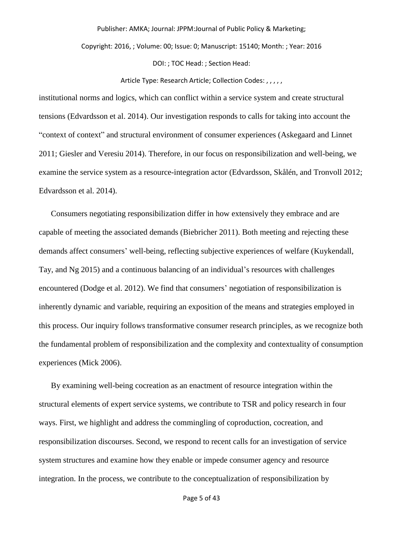Copyright: 2016, ; Volume: 00; Issue: 0; Manuscript: 15140; Month: ; Year: 2016

DOI: ; TOC Head: ; Section Head:

Article Type: Research Article; Collection Codes: , , , , ,

institutional norms and logics, which can conflict within a service system and create structural tensions (Edvardsson et al. 2014). Our investigation responds to calls for taking into account the "context of context" and structural environment of consumer experiences (Askegaard and Linnet 2011; Giesler and Veresiu 2014). Therefore, in our focus on responsibilization and well-being, we examine the service system as a resource-integration actor (Edvardsson, Skålén, and Tronvoll 2012; Edvardsson et al. 2014).

Consumers negotiating responsibilization differ in how extensively they embrace and are capable of meeting the associated demands (Biebricher 2011). Both meeting and rejecting these demands affect consumers' well-being, reflecting subjective experiences of welfare (Kuykendall, Tay, and Ng 2015) and a continuous balancing of an individual's resources with challenges encountered (Dodge et al. 2012). We find that consumers' negotiation of responsibilization is inherently dynamic and variable, requiring an exposition of the means and strategies employed in this process. Our inquiry follows transformative consumer research principles, as we recognize both the fundamental problem of responsibilization and the complexity and contextuality of consumption experiences (Mick 2006).

By examining well-being cocreation as an enactment of resource integration within the structural elements of expert service systems, we contribute to TSR and policy research in four ways. First, we highlight and address the commingling of coproduction, cocreation, and responsibilization discourses. Second, we respond to recent calls for an investigation of service system structures and examine how they enable or impede consumer agency and resource integration. In the process, we contribute to the conceptualization of responsibilization by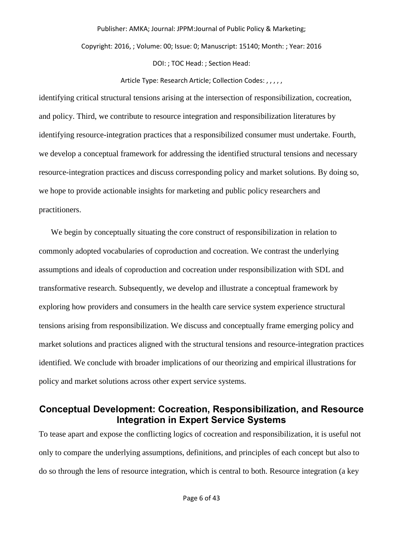Copyright: 2016, ; Volume: 00; Issue: 0; Manuscript: 15140; Month: ; Year: 2016

DOI: ; TOC Head: ; Section Head:

#### Article Type: Research Article; Collection Codes: , , , , ,

identifying critical structural tensions arising at the intersection of responsibilization, cocreation, and policy. Third, we contribute to resource integration and responsibilization literatures by identifying resource-integration practices that a responsibilized consumer must undertake. Fourth, we develop a conceptual framework for addressing the identified structural tensions and necessary resource-integration practices and discuss corresponding policy and market solutions. By doing so, we hope to provide actionable insights for marketing and public policy researchers and practitioners.

We begin by conceptually situating the core construct of responsibilization in relation to commonly adopted vocabularies of coproduction and cocreation. We contrast the underlying assumptions and ideals of coproduction and cocreation under responsibilization with SDL and transformative research. Subsequently, we develop and illustrate a conceptual framework by exploring how providers and consumers in the health care service system experience structural tensions arising from responsibilization. We discuss and conceptually frame emerging policy and market solutions and practices aligned with the structural tensions and resource-integration practices identified. We conclude with broader implications of our theorizing and empirical illustrations for policy and market solutions across other expert service systems.

## **Conceptual Development: Cocreation, Responsibilization, and Resource Integration in Expert Service Systems**

To tease apart and expose the conflicting logics of cocreation and responsibilization, it is useful not only to compare the underlying assumptions, definitions, and principles of each concept but also to do so through the lens of resource integration, which is central to both. Resource integration (a key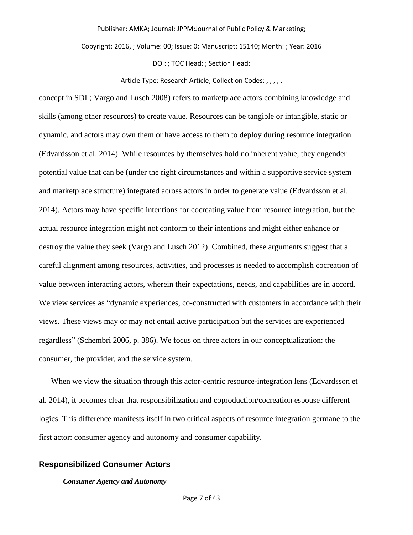Copyright: 2016, ; Volume: 00; Issue: 0; Manuscript: 15140; Month: ; Year: 2016

DOI: ; TOC Head: ; Section Head:

#### Article Type: Research Article; Collection Codes: , , , , ,

concept in SDL; Vargo and Lusch 2008) refers to marketplace actors combining knowledge and skills (among other resources) to create value. Resources can be tangible or intangible, static or dynamic, and actors may own them or have access to them to deploy during resource integration (Edvardsson et al. 2014). While resources by themselves hold no inherent value, they engender potential value that can be (under the right circumstances and within a supportive service system and marketplace structure) integrated across actors in order to generate value (Edvardsson et al. 2014). Actors may have specific intentions for cocreating value from resource integration, but the actual resource integration might not conform to their intentions and might either enhance or destroy the value they seek (Vargo and Lusch 2012). Combined, these arguments suggest that a careful alignment among resources, activities, and processes is needed to accomplish cocreation of value between interacting actors, wherein their expectations, needs, and capabilities are in accord. We view services as "dynamic experiences, co-constructed with customers in accordance with their views. These views may or may not entail active participation but the services are experienced regardless" (Schembri 2006, p. 386). We focus on three actors in our conceptualization: the consumer, the provider, and the service system.

When we view the situation through this actor-centric resource-integration lens (Edvardsson et al. 2014), it becomes clear that responsibilization and coproduction/cocreation espouse different logics. This difference manifests itself in two critical aspects of resource integration germane to the first actor: consumer agency and autonomy and consumer capability.

### **Responsibilized Consumer Actors**

#### *Consumer Agency and Autonomy*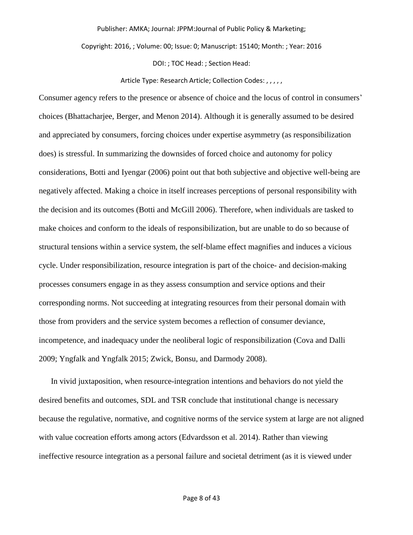Copyright: 2016, ; Volume: 00; Issue: 0; Manuscript: 15140; Month: ; Year: 2016

DOI: ; TOC Head: ; Section Head:

#### Article Type: Research Article; Collection Codes: , , , , ,

Consumer agency refers to the presence or absence of choice and the locus of control in consumers' choices (Bhattacharjee, Berger, and Menon 2014). Although it is generally assumed to be desired and appreciated by consumers, forcing choices under expertise asymmetry (as responsibilization does) is stressful. In summarizing the downsides of forced choice and autonomy for policy considerations, Botti and Iyengar (2006) point out that both subjective and objective well-being are negatively affected. Making a choice in itself increases perceptions of personal responsibility with the decision and its outcomes (Botti and McGill 2006). Therefore, when individuals are tasked to make choices and conform to the ideals of responsibilization, but are unable to do so because of structural tensions within a service system, the self-blame effect magnifies and induces a vicious cycle. Under responsibilization, resource integration is part of the choice- and decision-making processes consumers engage in as they assess consumption and service options and their corresponding norms. Not succeeding at integrating resources from their personal domain with those from providers and the service system becomes a reflection of consumer deviance, incompetence, and inadequacy under the neoliberal logic of responsibilization (Cova and Dalli 2009; Yngfalk and Yngfalk 2015; Zwick, Bonsu, and Darmody 2008).

In vivid juxtaposition, when resource-integration intentions and behaviors do not yield the desired benefits and outcomes, SDL and TSR conclude that institutional change is necessary because the regulative, normative, and cognitive norms of the service system at large are not aligned with value cocreation efforts among actors (Edvardsson et al. 2014). Rather than viewing ineffective resource integration as a personal failure and societal detriment (as it is viewed under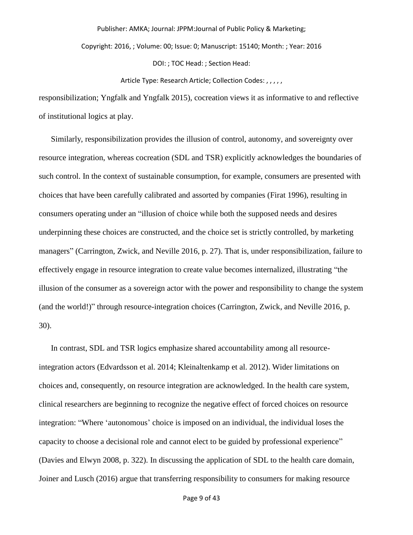Copyright: 2016, ; Volume: 00; Issue: 0; Manuscript: 15140; Month: ; Year: 2016

DOI: ; TOC Head: ; Section Head:

Article Type: Research Article; Collection Codes: , , , , ,

responsibilization; Yngfalk and Yngfalk 2015), cocreation views it as informative to and reflective of institutional logics at play.

Similarly, responsibilization provides the illusion of control, autonomy, and sovereignty over resource integration, whereas cocreation (SDL and TSR) explicitly acknowledges the boundaries of such control. In the context of sustainable consumption, for example, consumers are presented with choices that have been carefully calibrated and assorted by companies (Firat 1996), resulting in consumers operating under an "illusion of choice while both the supposed needs and desires underpinning these choices are constructed, and the choice set is strictly controlled, by marketing managers" (Carrington, Zwick, and Neville 2016, p. 27). That is, under responsibilization, failure to effectively engage in resource integration to create value becomes internalized, illustrating "the illusion of the consumer as a sovereign actor with the power and responsibility to change the system (and the world!)" through resource-integration choices (Carrington, Zwick, and Neville 2016, p. 30).

In contrast, SDL and TSR logics emphasize shared accountability among all resourceintegration actors (Edvardsson et al. 2014; Kleinaltenkamp et al. 2012). Wider limitations on choices and, consequently, on resource integration are acknowledged. In the health care system, clinical researchers are beginning to recognize the negative effect of forced choices on resource integration: "Where 'autonomous' choice is imposed on an individual, the individual loses the capacity to choose a decisional role and cannot elect to be guided by professional experience" (Davies and Elwyn 2008, p. 322). In discussing the application of SDL to the health care domain, Joiner and Lusch (2016) argue that transferring responsibility to consumers for making resource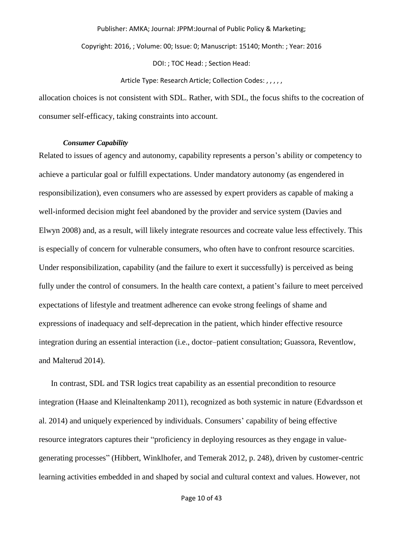Copyright: 2016, ; Volume: 00; Issue: 0; Manuscript: 15140; Month: ; Year: 2016

DOI: ; TOC Head: ; Section Head:

Article Type: Research Article; Collection Codes: , , , , ,

allocation choices is not consistent with SDL. Rather, with SDL, the focus shifts to the cocreation of consumer self-efficacy, taking constraints into account.

#### *Consumer Capability*

Related to issues of agency and autonomy, capability represents a person's ability or competency to achieve a particular goal or fulfill expectations. Under mandatory autonomy (as engendered in responsibilization), even consumers who are assessed by expert providers as capable of making a well-informed decision might feel abandoned by the provider and service system (Davies and Elwyn 2008) and, as a result, will likely integrate resources and cocreate value less effectively. This is especially of concern for vulnerable consumers, who often have to confront resource scarcities. Under responsibilization, capability (and the failure to exert it successfully) is perceived as being fully under the control of consumers. In the health care context, a patient's failure to meet perceived expectations of lifestyle and treatment adherence can evoke strong feelings of shame and expressions of inadequacy and self-deprecation in the patient, which hinder effective resource integration during an essential interaction (i.e., doctor–patient consultation; Guassora, Reventlow, and Malterud 2014).

In contrast, SDL and TSR logics treat capability as an essential precondition to resource integration (Haase and Kleinaltenkamp 2011), recognized as both systemic in nature (Edvardsson et al. 2014) and uniquely experienced by individuals. Consumers' capability of being effective resource integrators captures their "proficiency in deploying resources as they engage in valuegenerating processes" (Hibbert, Winklhofer, and Temerak 2012, p. 248), driven by customer-centric learning activities embedded in and shaped by social and cultural context and values. However, not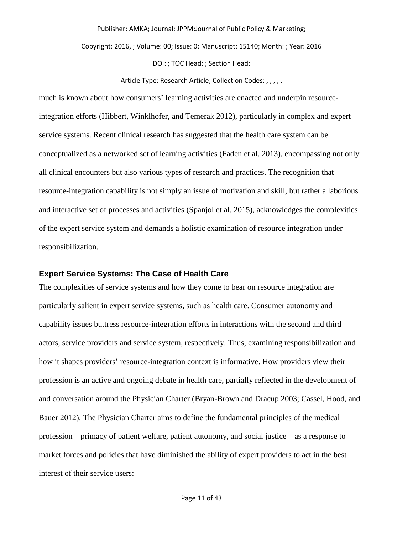Copyright: 2016, ; Volume: 00; Issue: 0; Manuscript: 15140; Month: ; Year: 2016

DOI: ; TOC Head: ; Section Head:

Article Type: Research Article; Collection Codes: , , , , ,

much is known about how consumers' learning activities are enacted and underpin resourceintegration efforts (Hibbert, Winklhofer, and Temerak 2012), particularly in complex and expert service systems. Recent clinical research has suggested that the health care system can be conceptualized as a networked set of learning activities (Faden et al. 2013), encompassing not only all clinical encounters but also various types of research and practices. The recognition that resource-integration capability is not simply an issue of motivation and skill, but rather a laborious and interactive set of processes and activities (Spanjol et al. 2015), acknowledges the complexities of the expert service system and demands a holistic examination of resource integration under responsibilization.

#### **Expert Service Systems: The Case of Health Care**

The complexities of service systems and how they come to bear on resource integration are particularly salient in expert service systems, such as health care. Consumer autonomy and capability issues buttress resource-integration efforts in interactions with the second and third actors, service providers and service system, respectively. Thus, examining responsibilization and how it shapes providers' resource-integration context is informative. How providers view their profession is an active and ongoing debate in health care, partially reflected in the development of and conversation around the Physician Charter (Bryan-Brown and Dracup 2003; Cassel, Hood, and Bauer 2012). The Physician Charter aims to define the fundamental principles of the medical profession—primacy of patient welfare, patient autonomy, and social justice—as a response to market forces and policies that have diminished the ability of expert providers to act in the best interest of their service users: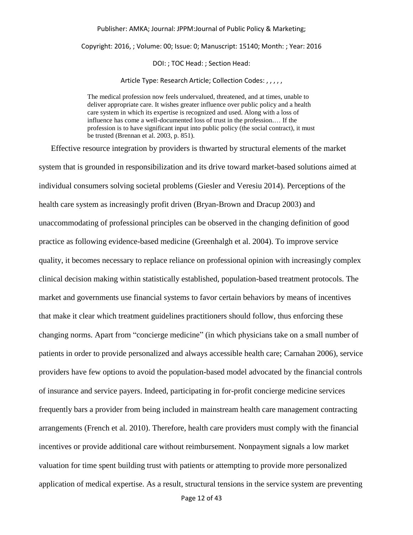Copyright: 2016, ; Volume: 00; Issue: 0; Manuscript: 15140; Month: ; Year: 2016

DOI: ; TOC Head: ; Section Head:

Article Type: Research Article; Collection Codes: , , , , ,

The medical profession now feels undervalued, threatened, and at times, unable to deliver appropriate care. It wishes greater influence over public policy and a health care system in which its expertise is recognized and used. Along with a loss of influence has come a well-documented loss of trust in the profession.… If the profession is to have significant input into public policy (the social contract), it must be trusted (Brennan et al. 2003, p. 851).

Effective resource integration by providers is thwarted by structural elements of the market system that is grounded in responsibilization and its drive toward market-based solutions aimed at individual consumers solving societal problems (Giesler and Veresiu 2014). Perceptions of the health care system as increasingly profit driven (Bryan-Brown and Dracup 2003) and unaccommodating of professional principles can be observed in the changing definition of good practice as following evidence-based medicine (Greenhalgh et al. 2004). To improve service quality, it becomes necessary to replace reliance on professional opinion with increasingly complex clinical decision making within statistically established, population-based treatment protocols. The market and governments use financial systems to favor certain behaviors by means of incentives that make it clear which treatment guidelines practitioners should follow, thus enforcing these changing norms. Apart from "concierge medicine" (in which physicians take on a small number of patients in order to provide personalized and always accessible health care; Carnahan 2006), service providers have few options to avoid the population-based model advocated by the financial controls of insurance and service payers. Indeed, participating in for-profit concierge medicine services frequently bars a provider from being included in mainstream health care management contracting arrangements (French et al. 2010). Therefore, health care providers must comply with the financial incentives or provide additional care without reimbursement. Nonpayment signals a low market valuation for time spent building trust with patients or attempting to provide more personalized application of medical expertise. As a result, structural tensions in the service system are preventing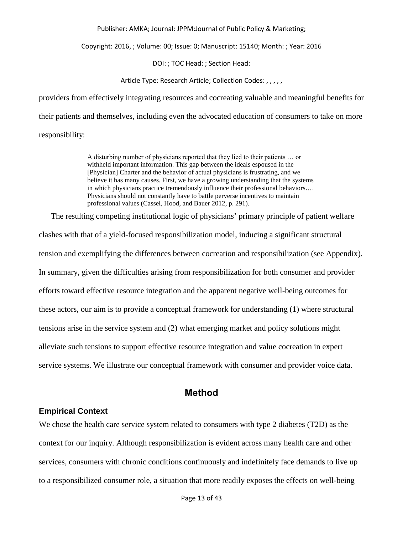Copyright: 2016, ; Volume: 00; Issue: 0; Manuscript: 15140; Month: ; Year: 2016

DOI: ; TOC Head: ; Section Head:

Article Type: Research Article; Collection Codes: , , , , ,

providers from effectively integrating resources and cocreating valuable and meaningful benefits for their patients and themselves, including even the advocated education of consumers to take on more responsibility:

> A disturbing number of physicians reported that they lied to their patients … or withheld important information. This gap between the ideals espoused in the [Physician] Charter and the behavior of actual physicians is frustrating, and we believe it has many causes. First, we have a growing understanding that the systems in which physicians practice tremendously influence their professional behaviors.… Physicians should not constantly have to battle perverse incentives to maintain professional values (Cassel, Hood, and Bauer 2012, p. 291).

The resulting competing institutional logic of physicians' primary principle of patient welfare clashes with that of a yield-focused responsibilization model, inducing a significant structural tension and exemplifying the differences between cocreation and responsibilization (see Appendix). In summary, given the difficulties arising from responsibilization for both consumer and provider efforts toward effective resource integration and the apparent negative well-being outcomes for these actors, our aim is to provide a conceptual framework for understanding (1) where structural tensions arise in the service system and (2) what emerging market and policy solutions might alleviate such tensions to support effective resource integration and value cocreation in expert service systems. We illustrate our conceptual framework with consumer and provider voice data.

## **Method**

#### **Empirical Context**

We chose the health care service system related to consumers with type 2 diabetes (T2D) as the context for our inquiry. Although responsibilization is evident across many health care and other services, consumers with chronic conditions continuously and indefinitely face demands to live up to a responsibilized consumer role, a situation that more readily exposes the effects on well-being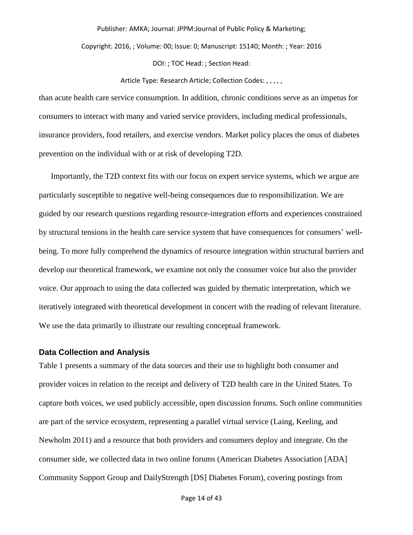Copyright: 2016, ; Volume: 00; Issue: 0; Manuscript: 15140; Month: ; Year: 2016

DOI: ; TOC Head: ; Section Head:

#### Article Type: Research Article; Collection Codes: , , , , ,

than acute health care service consumption. In addition, chronic conditions serve as an impetus for consumers to interact with many and varied service providers, including medical professionals, insurance providers, food retailers, and exercise vendors. Market policy places the onus of diabetes prevention on the individual with or at risk of developing T2D.

Importantly, the T2D context fits with our focus on expert service systems, which we argue are particularly susceptible to negative well-being consequences due to responsibilization. We are guided by our research questions regarding resource-integration efforts and experiences constrained by structural tensions in the health care service system that have consequences for consumers' wellbeing. To more fully comprehend the dynamics of resource integration within structural barriers and develop our theoretical framework, we examine not only the consumer voice but also the provider voice. Our approach to using the data collected was guided by thematic interpretation, which we iteratively integrated with theoretical development in concert with the reading of relevant literature. We use the data primarily to illustrate our resulting conceptual framework.

#### **Data Collection and Analysis**

Table 1 presents a summary of the data sources and their use to highlight both consumer and provider voices in relation to the receipt and delivery of T2D health care in the United States. To capture both voices, we used publicly accessible, open discussion forums. Such online communities are part of the service ecosystem, representing a parallel virtual service (Laing, Keeling, and Newholm 2011) and a resource that both providers and consumers deploy and integrate. On the consumer side, we collected data in two online forums (American Diabetes Association [ADA] Community Support Group and DailyStrength [DS] Diabetes Forum), covering postings from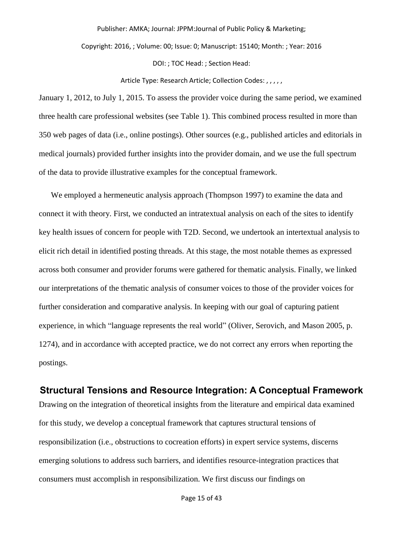Copyright: 2016, ; Volume: 00; Issue: 0; Manuscript: 15140; Month: ; Year: 2016

DOI: ; TOC Head: ; Section Head:

Article Type: Research Article; Collection Codes: , , , , ,

January 1, 2012, to July 1, 2015. To assess the provider voice during the same period, we examined three health care professional websites (see Table 1). This combined process resulted in more than 350 web pages of data (i.e., online postings). Other sources (e.g., published articles and editorials in medical journals) provided further insights into the provider domain, and we use the full spectrum of the data to provide illustrative examples for the conceptual framework.

We employed a hermeneutic analysis approach (Thompson 1997) to examine the data and connect it with theory. First, we conducted an intratextual analysis on each of the sites to identify key health issues of concern for people with T2D. Second, we undertook an intertextual analysis to elicit rich detail in identified posting threads. At this stage, the most notable themes as expressed across both consumer and provider forums were gathered for thematic analysis. Finally, we linked our interpretations of the thematic analysis of consumer voices to those of the provider voices for further consideration and comparative analysis. In keeping with our goal of capturing patient experience, in which "language represents the real world" (Oliver, Serovich, and Mason 2005, p. 1274), and in accordance with accepted practice, we do not correct any errors when reporting the postings.

## **Structural Tensions and Resource Integration: A Conceptual Framework**

Drawing on the integration of theoretical insights from the literature and empirical data examined for this study, we develop a conceptual framework that captures structural tensions of responsibilization (i.e., obstructions to cocreation efforts) in expert service systems, discerns emerging solutions to address such barriers, and identifies resource-integration practices that consumers must accomplish in responsibilization. We first discuss our findings on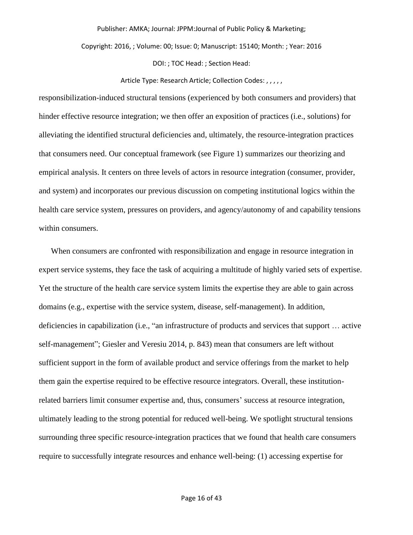Copyright: 2016, ; Volume: 00; Issue: 0; Manuscript: 15140; Month: ; Year: 2016

DOI: ; TOC Head: ; Section Head:

#### Article Type: Research Article; Collection Codes: , , , , ,

responsibilization-induced structural tensions (experienced by both consumers and providers) that hinder effective resource integration; we then offer an exposition of practices (i.e., solutions) for alleviating the identified structural deficiencies and, ultimately, the resource-integration practices that consumers need. Our conceptual framework (see Figure 1) summarizes our theorizing and empirical analysis. It centers on three levels of actors in resource integration (consumer, provider, and system) and incorporates our previous discussion on competing institutional logics within the health care service system, pressures on providers, and agency/autonomy of and capability tensions within consumers.

When consumers are confronted with responsibilization and engage in resource integration in expert service systems, they face the task of acquiring a multitude of highly varied sets of expertise. Yet the structure of the health care service system limits the expertise they are able to gain across domains (e.g., expertise with the service system, disease, self-management). In addition, deficiencies in capabilization (i.e., "an infrastructure of products and services that support … active self-management"; Giesler and Veresiu 2014, p. 843) mean that consumers are left without sufficient support in the form of available product and service offerings from the market to help them gain the expertise required to be effective resource integrators. Overall, these institutionrelated barriers limit consumer expertise and, thus, consumers' success at resource integration, ultimately leading to the strong potential for reduced well-being. We spotlight structural tensions surrounding three specific resource-integration practices that we found that health care consumers require to successfully integrate resources and enhance well-being: (1) accessing expertise for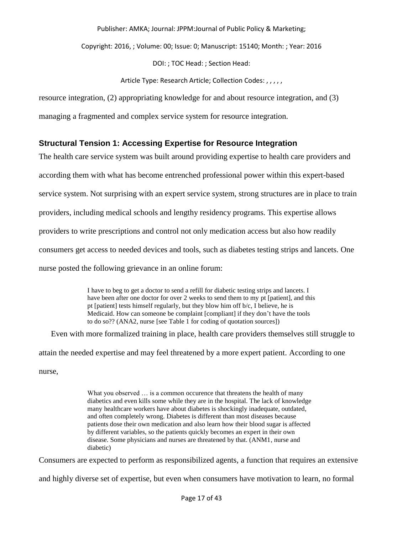Copyright: 2016, ; Volume: 00; Issue: 0; Manuscript: 15140; Month: ; Year: 2016

DOI: ; TOC Head: ; Section Head:

Article Type: Research Article; Collection Codes: , , , , ,

resource integration, (2) appropriating knowledge for and about resource integration, and (3)

managing a fragmented and complex service system for resource integration.

## **Structural Tension 1: Accessing Expertise for Resource Integration**

The health care service system was built around providing expertise to health care providers and according them with what has become entrenched professional power within this expert-based service system. Not surprising with an expert service system, strong structures are in place to train providers, including medical schools and lengthy residency programs. This expertise allows providers to write prescriptions and control not only medication access but also how readily consumers get access to needed devices and tools, such as diabetes testing strips and lancets. One nurse posted the following grievance in an online forum:

> I have to beg to get a doctor to send a refill for diabetic testing strips and lancets. I have been after one doctor for over 2 weeks to send them to my pt [patient], and this pt [patient] tests himself regularly, but they blow him off b/c, I believe, he is Medicaid. How can someone be complaint [compliant] if they don't have the tools to do so?? (ANA2, nurse [see Table 1 for coding of quotation sources])

Even with more formalized training in place, health care providers themselves still struggle to attain the needed expertise and may feel threatened by a more expert patient. According to one nurse,

> What you observed ... is a common occurence that threatens the health of many diabetics and even kills some while they are in the hospital. The lack of knowledge many healthcare workers have about diabetes is shockingly inadequate, outdated, and often completely wrong. Diabetes is different than most diseases because patients dose their own medication and also learn how their blood sugar is affected by different variables, so the patients quickly becomes an expert in their own disease. Some physicians and nurses are threatened by that. (ANM1, nurse and diabetic)

Consumers are expected to perform as responsibilized agents, a function that requires an extensive

and highly diverse set of expertise, but even when consumers have motivation to learn, no formal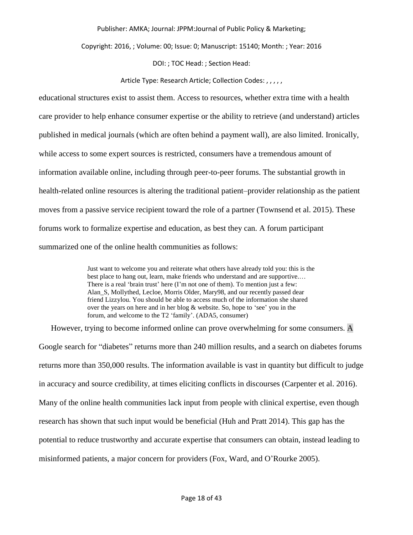Copyright: 2016, ; Volume: 00; Issue: 0; Manuscript: 15140; Month: ; Year: 2016

DOI: ; TOC Head: ; Section Head:

#### Article Type: Research Article; Collection Codes: , , , , ,

educational structures exist to assist them. Access to resources, whether extra time with a health care provider to help enhance consumer expertise or the ability to retrieve (and understand) articles published in medical journals (which are often behind a payment wall), are also limited. Ironically, while access to some expert sources is restricted, consumers have a tremendous amount of information available online, including through peer-to-peer forums. The substantial growth in health-related online resources is altering the traditional patient–provider relationship as the patient moves from a passive service recipient toward the role of a partner (Townsend et al. 2015). These forums work to formalize expertise and education, as best they can. A forum participant summarized one of the online health communities as follows:

> Just want to welcome you and reiterate what others have already told you: this is the best place to hang out, learn, make friends who understand and are supportive.… There is a real 'brain trust' here (I'm not one of them). To mention just a few: Alan S, Mollythed, Lecloe, Morris Older, Mary98, and our recently passed dear friend Lizzylou. You should be able to access much of the information she shared over the years on here and in her blog & website. So, hope to 'see' you in the forum, and welcome to the T2 'family'. (ADA5, consumer)

However, trying to become informed online can prove overwhelming for some consumers. A Google search for "diabetes" returns more than 240 million results, and a search on diabetes forums returns more than 350,000 results. The information available is vast in quantity but difficult to judge in accuracy and source credibility, at times eliciting conflicts in discourses (Carpenter et al. 2016). Many of the online health communities lack input from people with clinical expertise, even though research has shown that such input would be beneficial (Huh and Pratt 2014). This gap has the potential to reduce trustworthy and accurate expertise that consumers can obtain, instead leading to misinformed patients, a major concern for providers (Fox, Ward, and O'Rourke 2005).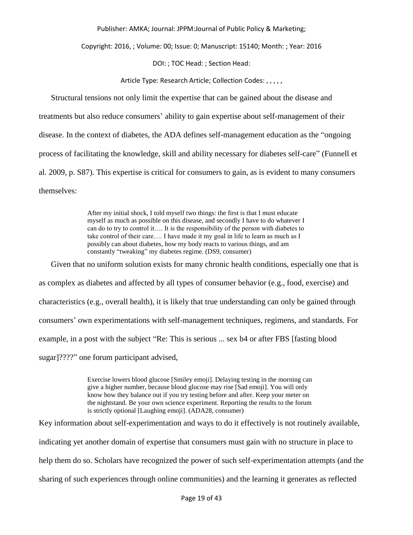Copyright: 2016, ; Volume: 00; Issue: 0; Manuscript: 15140; Month: ; Year: 2016

DOI: ; TOC Head: ; Section Head:

Article Type: Research Article; Collection Codes: , , , , ,

Structural tensions not only limit the expertise that can be gained about the disease and treatments but also reduce consumers' ability to gain expertise about self-management of their disease. In the context of diabetes, the ADA defines self-management education as the "ongoing process of facilitating the knowledge, skill and ability necessary for diabetes self-care" (Funnell et al. 2009, p. S87). This expertise is critical for consumers to gain, as is evident to many consumers themselves:

> After my initial shock, I told myself two things: the first is that I must educate myself as much as possible on this disease, and secondly I have to do whatever I can do to try to control it…. It is the responsibility of the person with diabetes to take control of their care…. I have made it my goal in life to learn as much as I possibly can about diabetes, how my body reacts to various things, and am constantly "tweaking" my diabetes regime. (DS9, consumer)

Given that no uniform solution exists for many chronic health conditions, especially one that is as complex as diabetes and affected by all types of consumer behavior (e.g., food, exercise) and characteristics (e.g., overall health), it is likely that true understanding can only be gained through consumers' own experimentations with self-management techniques, regimens, and standards. For example, in a post with the subject "Re: This is serious ... sex b4 or after FBS [fasting blood sugar]????" one forum participant advised,

> Exercise lowers blood glucose [Smiley emoji]. Delaying testing in the morning can give a higher number, because blood glucose may rise [Sad emoji]. You will only know how they balance out if you try testing before and after. Keep your meter on the nightstand. Be your own science experiment. Reporting the results to the forum is strictly optional [Laughing emoji]. (ADA28, consumer)

Key information about self-experimentation and ways to do it effectively is not routinely available, indicating yet another domain of expertise that consumers must gain with no structure in place to help them do so. Scholars have recognized the power of such self-experimentation attempts (and the sharing of such experiences through online communities) and the learning it generates as reflected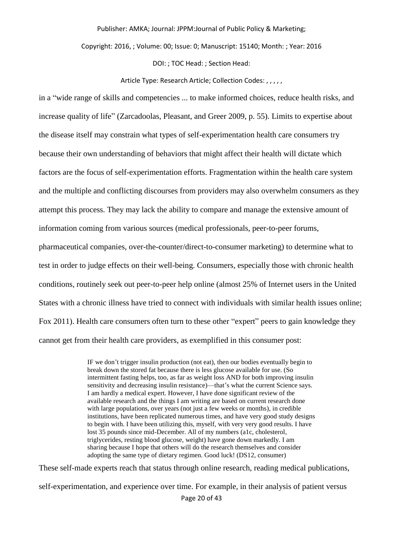Copyright: 2016, ; Volume: 00; Issue: 0; Manuscript: 15140; Month: ; Year: 2016

DOI: ; TOC Head: ; Section Head:

Article Type: Research Article; Collection Codes: , , , , ,

in a "wide range of skills and competencies ... to make informed choices, reduce health risks, and increase quality of life" (Zarcadoolas, Pleasant, and Greer 2009, p. 55). Limits to expertise about the disease itself may constrain what types of self-experimentation health care consumers try because their own understanding of behaviors that might affect their health will dictate which factors are the focus of self-experimentation efforts. Fragmentation within the health care system and the multiple and conflicting discourses from providers may also overwhelm consumers as they attempt this process. They may lack the ability to compare and manage the extensive amount of information coming from various sources (medical professionals, peer-to-peer forums, pharmaceutical companies, over-the-counter/direct-to-consumer marketing) to determine what to test in order to judge effects on their well-being. Consumers, especially those with chronic health conditions, routinely seek out peer-to-peer help online (almost 25% of Internet users in the United States with a chronic illness have tried to connect with individuals with similar health issues online; Fox 2011). Health care consumers often turn to these other "expert" peers to gain knowledge they cannot get from their health care providers, as exemplified in this consumer post:

> IF we don't trigger insulin production (not eat), then our bodies eventually begin to break down the stored fat because there is less glucose available for use. (So intermittent fasting helps, too, as far as weight loss AND for both improving insulin sensitivity and decreasing insulin resistance)—that's what the current Science says. I am hardly a medical expert. However, I have done significant review of the available research and the things I am writing are based on current research done with large populations, over years (not just a few weeks or months), in credible institutions, have been replicated numerous times, and have very good study designs to begin with. I have been utilizing this, myself, with very very good results. I have lost 35 pounds since mid-December. All of my numbers (a1c, cholesterol, triglycerides, resting blood glucose, weight) have gone down markedly. I am sharing because I hope that others will do the research themselves and consider adopting the same type of dietary regimen. Good luck! (DS12, consumer)

These self-made experts reach that status through online research, reading medical publications, self-experimentation, and experience over time. For example, in their analysis of patient versus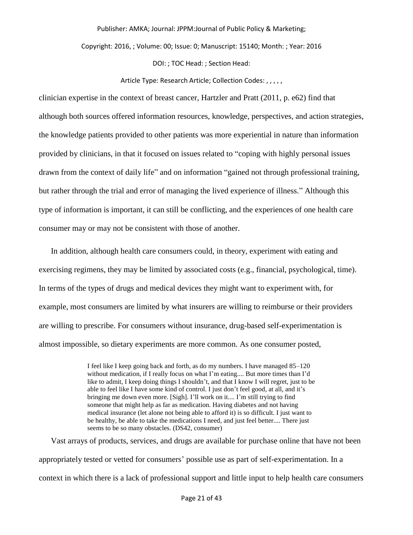Copyright: 2016, ; Volume: 00; Issue: 0; Manuscript: 15140; Month: ; Year: 2016

DOI: ; TOC Head: ; Section Head:

#### Article Type: Research Article; Collection Codes: , , , , ,

clinician expertise in the context of breast cancer, Hartzler and Pratt (2011, p. e62) find that although both sources offered information resources, knowledge, perspectives, and action strategies, the knowledge patients provided to other patients was more experiential in nature than information provided by clinicians, in that it focused on issues related to "coping with highly personal issues drawn from the context of daily life" and on information "gained not through professional training, but rather through the trial and error of managing the lived experience of illness." Although this type of information is important, it can still be conflicting, and the experiences of one health care consumer may or may not be consistent with those of another.

In addition, although health care consumers could, in theory, experiment with eating and exercising regimens, they may be limited by associated costs (e.g., financial, psychological, time). In terms of the types of drugs and medical devices they might want to experiment with, for example, most consumers are limited by what insurers are willing to reimburse or their providers are willing to prescribe. For consumers without insurance, drug-based self-experimentation is almost impossible, so dietary experiments are more common. As one consumer posted,

> I feel like I keep going back and forth, as do my numbers. I have managed 85–120 without medication, if I really focus on what I'm eating.... But more times than I'd like to admit, I keep doing things I shouldn't, and that I know I will regret, just to be able to feel like I have some kind of control. I just don't feel good, at all, and it's bringing me down even more. [Sigh]. I'll work on it.... I'm still trying to find someone that might help as far as medication. Having diabetes and not having medical insurance (let alone not being able to afford it) is so difficult. I just want to be healthy, be able to take the medications I need, and just feel better.... There just seems to be so many obstacles. (DS42, consumer)

Vast arrays of products, services, and drugs are available for purchase online that have not been appropriately tested or vetted for consumers' possible use as part of self-experimentation. In a context in which there is a lack of professional support and little input to help health care consumers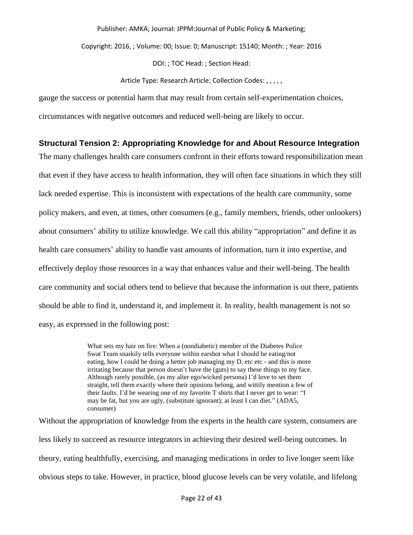Copyright: 2016, ; Volume: 00; Issue: 0; Manuscript: 15140; Month: ; Year: 2016

DOI: ; TOC Head: ; Section Head:

#### Article Type: Research Article; Collection Codes: , , , , ,

gauge the success or potential harm that may result from certain self-experimentation choices,

circumstances with negative outcomes and reduced well-being are likely to occur.

## **Structural Tension 2: Appropriating Knowledge for and About Resource Integration**

The many challenges health care consumers confront in their efforts toward responsibilization mean that even if they have access to health information, they will often face situations in which they still lack needed expertise. This is inconsistent with expectations of the health care community, some policy makers, and even, at times, other consumers (e.g., family members, friends, other onlookers) about consumers' ability to utilize knowledge. We call this ability "appropriation" and define it as health care consumers' ability to handle vast amounts of information, turn it into expertise, and effectively deploy those resources in a way that enhances value and their well-being. The health care community and social others tend to believe that because the information is out there, patients should be able to find it, understand it, and implement it. In reality, health management is not so easy, as expressed in the following post:

> What sets my hair on fire: When a (nondiabetic) member of the Diabetes Police Swat Team snarkily tells everyone within earshot what I should be eating/not eating, how I could be doing a better job managing my D, etc etc - and this is more irritating because that person doesn't have the (guts) to say these things to my face. Although rarely possible, (as my alter ego/wicked persona) I'd love to set them straight, tell them exactly where their opinions belong, and wittily mention a few of their faults. I'd be wearing one of my favorite T shirts that I never get to wear: "I may be fat, but you are ugly, (substitute ignorant); at least I can diet." (ADA5, consumer)

Without the appropriation of knowledge from the experts in the health care system, consumers are less likely to succeed as resource integrators in achieving their desired well-being outcomes. In theory, eating healthfully, exercising, and managing medications in order to live longer seem like obvious steps to take. However, in practice, blood glucose levels can be very volatile, and lifelong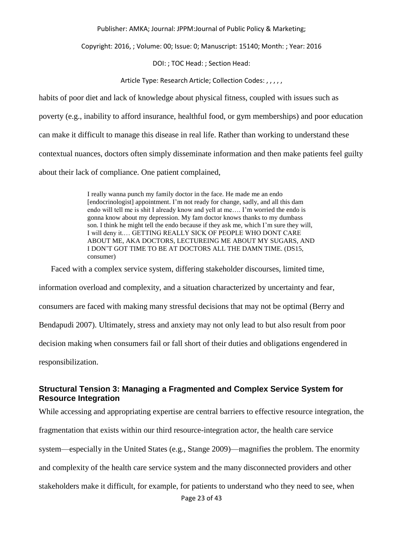Copyright: 2016, ; Volume: 00; Issue: 0; Manuscript: 15140; Month: ; Year: 2016

DOI: ; TOC Head: ; Section Head:

Article Type: Research Article; Collection Codes: , , , , ,

habits of poor diet and lack of knowledge about physical fitness, coupled with issues such as poverty (e.g., inability to afford insurance, healthful food, or gym memberships) and poor education can make it difficult to manage this disease in real life. Rather than working to understand these contextual nuances, doctors often simply disseminate information and then make patients feel guilty about their lack of compliance. One patient complained,

> I really wanna punch my family doctor in the face. He made me an endo [endocrinologist] appointment. I'm not ready for change, sadly, and all this dam endo will tell me is shit I already know and yell at me…. I'm worried the endo is gonna know about my depression. My fam doctor knows thanks to my dumbass son. I think he might tell the endo because if they ask me, which I'm sure they will, I will deny it.… GETTING REALLY SICK OF PEOPLE WHO DONT CARE ABOUT ME, AKA DOCTORS, LECTUREING ME ABOUT MY SUGARS, AND I DON'T GOT TIME TO BE AT DOCTORS ALL THE DAMN TIME. (DS15, consumer)

Faced with a complex service system, differing stakeholder discourses, limited time, information overload and complexity, and a situation characterized by uncertainty and fear, consumers are faced with making many stressful decisions that may not be optimal (Berry and Bendapudi 2007). Ultimately, stress and anxiety may not only lead to but also result from poor decision making when consumers fail or fall short of their duties and obligations engendered in responsibilization.

## **Structural Tension 3: Managing a Fragmented and Complex Service System for Resource Integration**

Page 23 of 43 While accessing and appropriating expertise are central barriers to effective resource integration, the fragmentation that exists within our third resource-integration actor, the health care service system—especially in the United States (e.g., Stange 2009)—magnifies the problem. The enormity and complexity of the health care service system and the many disconnected providers and other stakeholders make it difficult, for example, for patients to understand who they need to see, when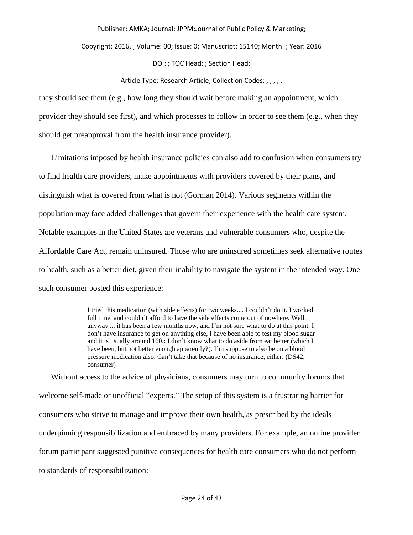Copyright: 2016, ; Volume: 00; Issue: 0; Manuscript: 15140; Month: ; Year: 2016

DOI: ; TOC Head: ; Section Head:

#### Article Type: Research Article; Collection Codes: , , , , ,

they should see them (e.g., how long they should wait before making an appointment, which provider they should see first), and which processes to follow in order to see them (e.g., when they should get preapproval from the health insurance provider).

Limitations imposed by health insurance policies can also add to confusion when consumers try to find health care providers, make appointments with providers covered by their plans, and distinguish what is covered from what is not (Gorman 2014). Various segments within the population may face added challenges that govern their experience with the health care system. Notable examples in the United States are veterans and vulnerable consumers who, despite the Affordable Care Act, remain uninsured. Those who are uninsured sometimes seek alternative routes to health, such as a better diet, given their inability to navigate the system in the intended way. One such consumer posted this experience:

> I tried this medication (with side effects) for two weeks.... I couldn't do it. I worked full time, and couldn't afford to have the side effects come out of nowhere. Well, anyway ... it has been a few months now, and I'm not sure what to do at this point. I don't have insurance to get on anything else, I have been able to test my blood sugar and it is usually around 160.: I don't know what to do aside from eat better (which I have been, but not better enough apparently?). I'm suppose to also be on a blood pressure medication also. Can't take that because of no insurance, either. (DS42, consumer)

Without access to the advice of physicians, consumers may turn to community forums that welcome self-made or unofficial "experts." The setup of this system is a frustrating barrier for consumers who strive to manage and improve their own health, as prescribed by the ideals underpinning responsibilization and embraced by many providers. For example, an online provider forum participant suggested punitive consequences for health care consumers who do not perform to standards of responsibilization: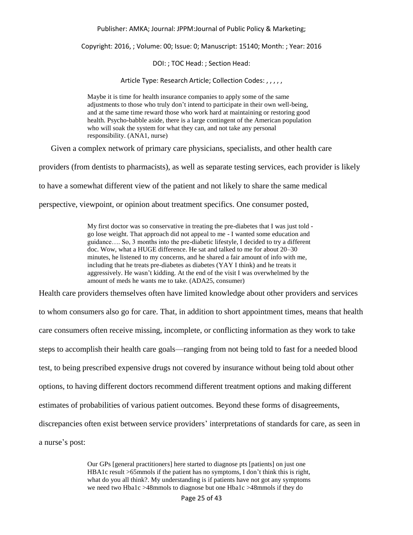Copyright: 2016, ; Volume: 00; Issue: 0; Manuscript: 15140; Month: ; Year: 2016

DOI: ; TOC Head: ; Section Head:

Article Type: Research Article; Collection Codes: , , , , ,

Maybe it is time for health insurance companies to apply some of the same adjustments to those who truly don't intend to participate in their own well-being, and at the same time reward those who work hard at maintaining or restoring good health. Psycho-babble aside, there is a large contingent of the American population who will soak the system for what they can, and not take any personal responsibility. (ANA1, nurse)

Given a complex network of primary care physicians, specialists, and other health care

providers (from dentists to pharmacists), as well as separate testing services, each provider is likely

to have a somewhat different view of the patient and not likely to share the same medical

perspective, viewpoint, or opinion about treatment specifics. One consumer posted,

My first doctor was so conservative in treating the pre-diabetes that I was just told go lose weight. That approach did not appeal to me - I wanted some education and guidance…. So, 3 months into the pre-diabetic lifestyle, I decided to try a different doc. Wow, what a HUGE difference. He sat and talked to me for about 20–30 minutes, he listened to my concerns, and he shared a fair amount of info with me, including that he treats pre-diabetes as diabetes (YAY I think) and he treats it aggressively. He wasn't kidding. At the end of the visit I was overwhelmed by the amount of meds he wants me to take. (ADA25, consumer)

Health care providers themselves often have limited knowledge about other providers and services

to whom consumers also go for care. That, in addition to short appointment times, means that health care consumers often receive missing, incomplete, or conflicting information as they work to take steps to accomplish their health care goals—ranging from not being told to fast for a needed blood test, to being prescribed expensive drugs not covered by insurance without being told about other options, to having different doctors recommend different treatment options and making different estimates of probabilities of various patient outcomes. Beyond these forms of disagreements, discrepancies often exist between service providers' interpretations of standards for care, as seen in a nurse's post:

> Our GPs [general practitioners] here started to diagnose pts [patients] on just one HBA1c result >65mmols if the patient has no symptoms, I don't think this is right, what do you all think?. My understanding is if patients have not got any symptoms we need two Hba1c >48mmols to diagnose but one Hba1c >48mmols if they do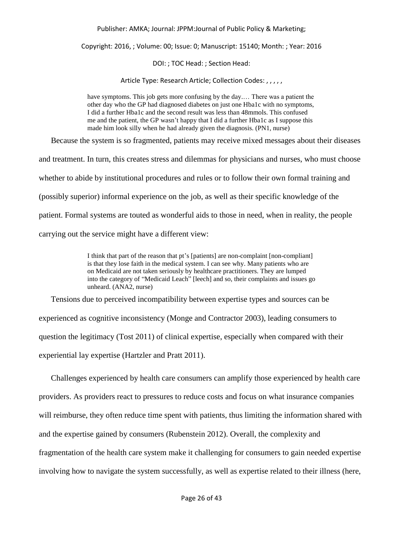Copyright: 2016, ; Volume: 00; Issue: 0; Manuscript: 15140; Month: ; Year: 2016

DOI: ; TOC Head: ; Section Head:

Article Type: Research Article; Collection Codes: , , , , ,

have symptoms. This job gets more confusing by the day.… There was a patient the other day who the GP had diagnosed diabetes on just one Hba1c with no symptoms, I did a further Hba1c and the second result was less than 48mmols. This confused me and the patient, the GP wasn't happy that I did a further Hba1c as I suppose this made him look silly when he had already given the diagnosis. (PN1, nurse)

Because the system is so fragmented, patients may receive mixed messages about their diseases and treatment. In turn, this creates stress and dilemmas for physicians and nurses, who must choose whether to abide by institutional procedures and rules or to follow their own formal training and (possibly superior) informal experience on the job, as well as their specific knowledge of the patient. Formal systems are touted as wonderful aids to those in need, when in reality, the people carrying out the service might have a different view:

> I think that part of the reason that pt's [patients] are non-complaint [non-compliant] is that they lose faith in the medical system. I can see why. Many patients who are on Medicaid are not taken seriously by healthcare practitioners. They are lumped into the category of "Medicaid Leach" [leech] and so, their complaints and issues go unheard. (ANA2, nurse)

Tensions due to perceived incompatibility between expertise types and sources can be experienced as cognitive inconsistency (Monge and Contractor 2003), leading consumers to question the legitimacy (Tost 2011) of clinical expertise, especially when compared with their experiential lay expertise (Hartzler and Pratt 2011).

Challenges experienced by health care consumers can amplify those experienced by health care providers. As providers react to pressures to reduce costs and focus on what insurance companies will reimburse, they often reduce time spent with patients, thus limiting the information shared with and the expertise gained by consumers (Rubenstein 2012). Overall, the complexity and fragmentation of the health care system make it challenging for consumers to gain needed expertise involving how to navigate the system successfully, as well as expertise related to their illness (here,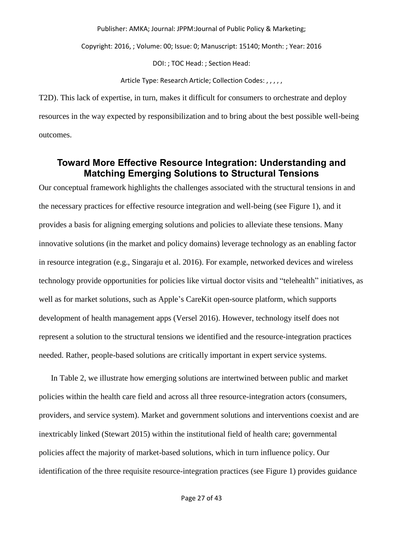Copyright: 2016, ; Volume: 00; Issue: 0; Manuscript: 15140; Month: ; Year: 2016

DOI: ; TOC Head: ; Section Head:

Article Type: Research Article; Collection Codes: , , , , ,

T2D). This lack of expertise, in turn, makes it difficult for consumers to orchestrate and deploy resources in the way expected by responsibilization and to bring about the best possible well-being outcomes.

## **Toward More Effective Resource Integration: Understanding and Matching Emerging Solutions to Structural Tensions**

Our conceptual framework highlights the challenges associated with the structural tensions in and the necessary practices for effective resource integration and well-being (see Figure 1), and it provides a basis for aligning emerging solutions and policies to alleviate these tensions. Many innovative solutions (in the market and policy domains) leverage technology as an enabling factor in resource integration (e.g., Singaraju et al. 2016). For example, networked devices and wireless technology provide opportunities for policies like virtual doctor visits and "telehealth" initiatives, as well as for market solutions, such as Apple's CareKit open-source platform, which supports development of health management apps (Versel 2016). However, technology itself does not represent a solution to the structural tensions we identified and the resource-integration practices needed. Rather, people-based solutions are critically important in expert service systems.

In Table 2, we illustrate how emerging solutions are intertwined between public and market policies within the health care field and across all three resource-integration actors (consumers, providers, and service system). Market and government solutions and interventions coexist and are inextricably linked (Stewart 2015) within the institutional field of health care; governmental policies affect the majority of market-based solutions, which in turn influence policy. Our identification of the three requisite resource-integration practices (see Figure 1) provides guidance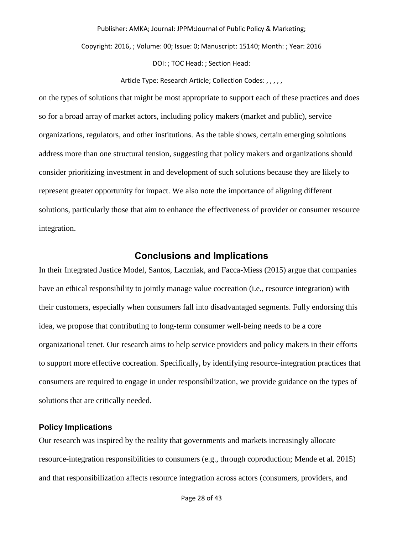Copyright: 2016, ; Volume: 00; Issue: 0; Manuscript: 15140; Month: ; Year: 2016

DOI: ; TOC Head: ; Section Head:

Article Type: Research Article; Collection Codes: , , , , ,

on the types of solutions that might be most appropriate to support each of these practices and does so for a broad array of market actors, including policy makers (market and public), service organizations, regulators, and other institutions. As the table shows, certain emerging solutions address more than one structural tension, suggesting that policy makers and organizations should consider prioritizing investment in and development of such solutions because they are likely to represent greater opportunity for impact. We also note the importance of aligning different solutions, particularly those that aim to enhance the effectiveness of provider or consumer resource integration.

## **Conclusions and Implications**

In their Integrated Justice Model, Santos, Laczniak, and Facca-Miess (2015) argue that companies have an ethical responsibility to jointly manage value cocreation (i.e., resource integration) with their customers, especially when consumers fall into disadvantaged segments. Fully endorsing this idea, we propose that contributing to long-term consumer well-being needs to be a core organizational tenet. Our research aims to help service providers and policy makers in their efforts to support more effective cocreation. Specifically, by identifying resource-integration practices that consumers are required to engage in under responsibilization, we provide guidance on the types of solutions that are critically needed.

## **Policy Implications**

Our research was inspired by the reality that governments and markets increasingly allocate resource-integration responsibilities to consumers (e.g., through coproduction; Mende et al. 2015) and that responsibilization affects resource integration across actors (consumers, providers, and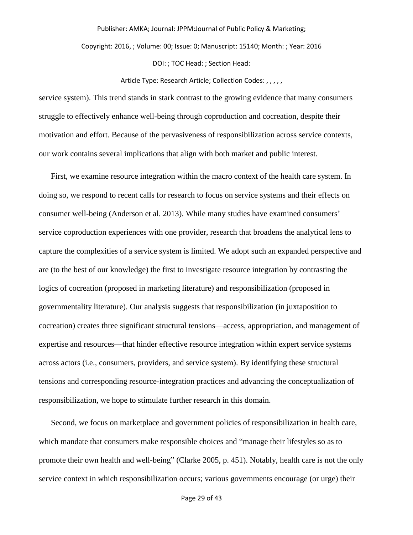Copyright: 2016, ; Volume: 00; Issue: 0; Manuscript: 15140; Month: ; Year: 2016

DOI: ; TOC Head: ; Section Head:

#### Article Type: Research Article; Collection Codes: , , , , ,

service system). This trend stands in stark contrast to the growing evidence that many consumers struggle to effectively enhance well-being through coproduction and cocreation, despite their motivation and effort. Because of the pervasiveness of responsibilization across service contexts, our work contains several implications that align with both market and public interest.

First, we examine resource integration within the macro context of the health care system. In doing so, we respond to recent calls for research to focus on service systems and their effects on consumer well-being (Anderson et al. 2013). While many studies have examined consumers' service coproduction experiences with one provider, research that broadens the analytical lens to capture the complexities of a service system is limited. We adopt such an expanded perspective and are (to the best of our knowledge) the first to investigate resource integration by contrasting the logics of cocreation (proposed in marketing literature) and responsibilization (proposed in governmentality literature). Our analysis suggests that responsibilization (in juxtaposition to cocreation) creates three significant structural tensions—access, appropriation, and management of expertise and resources—that hinder effective resource integration within expert service systems across actors (i.e., consumers, providers, and service system). By identifying these structural tensions and corresponding resource-integration practices and advancing the conceptualization of responsibilization, we hope to stimulate further research in this domain.

Second, we focus on marketplace and government policies of responsibilization in health care, which mandate that consumers make responsible choices and "manage their lifestyles so as to promote their own health and well-being" (Clarke 2005, p. 451). Notably, health care is not the only service context in which responsibilization occurs; various governments encourage (or urge) their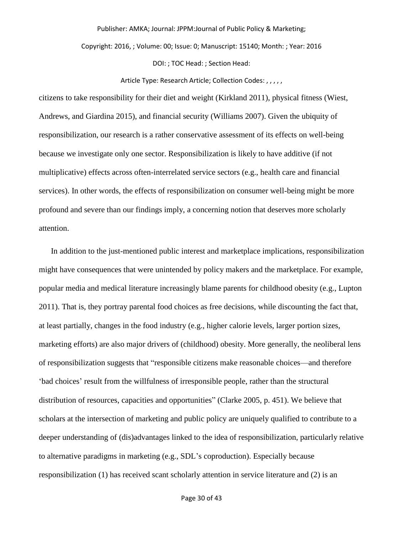Copyright: 2016, ; Volume: 00; Issue: 0; Manuscript: 15140; Month: ; Year: 2016

DOI: ; TOC Head: ; Section Head:

Article Type: Research Article; Collection Codes: , , , , ,

citizens to take responsibility for their diet and weight (Kirkland 2011), physical fitness (Wiest, Andrews, and Giardina 2015), and financial security (Williams 2007). Given the ubiquity of responsibilization, our research is a rather conservative assessment of its effects on well-being because we investigate only one sector. Responsibilization is likely to have additive (if not multiplicative) effects across often-interrelated service sectors (e.g., health care and financial services). In other words, the effects of responsibilization on consumer well-being might be more profound and severe than our findings imply, a concerning notion that deserves more scholarly attention.

In addition to the just-mentioned public interest and marketplace implications, responsibilization might have consequences that were unintended by policy makers and the marketplace. For example, popular media and medical literature increasingly blame parents for childhood obesity (e.g., Lupton 2011). That is, they portray parental food choices as free decisions, while discounting the fact that, at least partially, changes in the food industry (e.g., higher calorie levels, larger portion sizes, marketing efforts) are also major drivers of (childhood) obesity. More generally, the neoliberal lens of responsibilization suggests that "responsible citizens make reasonable choices—and therefore 'bad choices' result from the willfulness of irresponsible people, rather than the structural distribution of resources, capacities and opportunities" (Clarke 2005, p. 451). We believe that scholars at the intersection of marketing and public policy are uniquely qualified to contribute to a deeper understanding of (dis)advantages linked to the idea of responsibilization, particularly relative to alternative paradigms in marketing (e.g., SDL's coproduction). Especially because responsibilization (1) has received scant scholarly attention in service literature and (2) is an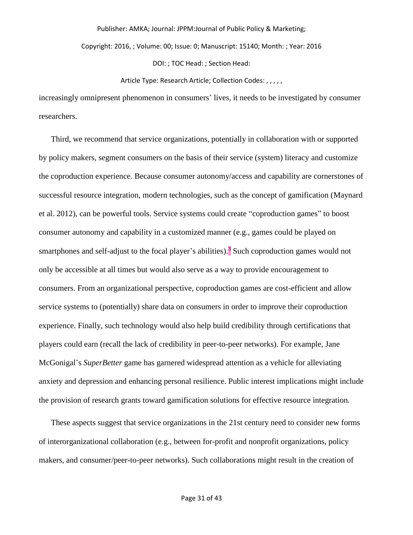Copyright: 2016, ; Volume: 00; Issue: 0; Manuscript: 15140; Month: ; Year: 2016

DOI: ; TOC Head: ; Section Head:

#### Article Type: Research Article; Collection Codes: , , , , ,

increasingly omnipresent phenomenon in consumers' lives, it needs to be investigated by consumer researchers.

Third, we recommend that service organizations, potentially in collaboration with or supported by policy makers, segment consumers on the basis of their service (system) literacy and customize the coproduction experience. Because consumer autonomy/access and capability are cornerstones of successful resource integration, modern technologies, such as the concept of gamification (Maynard et al. 2012), can be powerful tools. Service systems could create "coproduction games" to boost consumer autonomy and capability in a customized manner (e.g., games could be played on smartphones and self-adjust to the focal player's abilities).<sup>3</sup> Such coproduction games would not only be accessible at all times but would also serve as a way to provide encouragement to consumers. From an organizational perspective, coproduction games are cost-efficient and allow service systems to (potentially) share data on consumers in order to improve their coproduction experience. Finally, such technology would also help build credibility through certifications that players could earn (recall the lack of credibility in peer-to-peer networks). For example, Jane McGonigal's *SuperBetter* game has garnered widespread attention as a vehicle for alleviating anxiety and depression and enhancing personal resilience. Public interest implications might include the provision of research grants toward gamification solutions for effective resource integration.

These aspects suggest that service organizations in the 21st century need to consider new forms of interorganizational collaboration (e.g., between for-profit and nonprofit organizations, policy makers, and consumer/peer-to-peer networks). Such collaborations might result in the creation of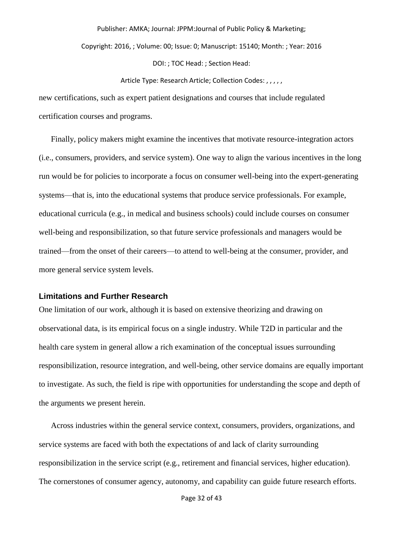Copyright: 2016, ; Volume: 00; Issue: 0; Manuscript: 15140; Month: ; Year: 2016

DOI: ; TOC Head: ; Section Head:

Article Type: Research Article; Collection Codes: , , , , ,

new certifications, such as expert patient designations and courses that include regulated certification courses and programs.

Finally, policy makers might examine the incentives that motivate resource-integration actors (i.e., consumers, providers, and service system). One way to align the various incentives in the long run would be for policies to incorporate a focus on consumer well-being into the expert-generating systems—that is, into the educational systems that produce service professionals. For example, educational curricula (e.g., in medical and business schools) could include courses on consumer well-being and responsibilization, so that future service professionals and managers would be trained—from the onset of their careers—to attend to well-being at the consumer, provider, and more general service system levels.

#### **Limitations and Further Research**

One limitation of our work, although it is based on extensive theorizing and drawing on observational data, is its empirical focus on a single industry. While T2D in particular and the health care system in general allow a rich examination of the conceptual issues surrounding responsibilization, resource integration, and well-being, other service domains are equally important to investigate. As such, the field is ripe with opportunities for understanding the scope and depth of the arguments we present herein.

Across industries within the general service context, consumers, providers, organizations, and service systems are faced with both the expectations of and lack of clarity surrounding responsibilization in the service script (e.g., retirement and financial services, higher education). The cornerstones of consumer agency, autonomy, and capability can guide future research efforts.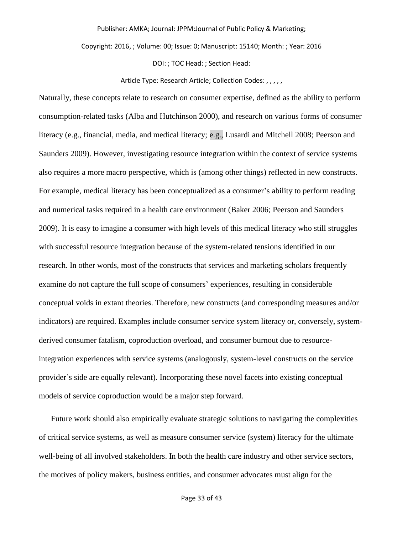Copyright: 2016, ; Volume: 00; Issue: 0; Manuscript: 15140; Month: ; Year: 2016

DOI: ; TOC Head: ; Section Head:

Article Type: Research Article; Collection Codes: , , , , ,

Naturally, these concepts relate to research on consumer expertise, defined as the ability to perform consumption-related tasks (Alba and Hutchinson 2000), and research on various forms of consumer literacy (e.g., financial, media, and medical literacy; e.g., Lusardi and Mitchell 2008; Peerson and Saunders 2009). However, investigating resource integration within the context of service systems also requires a more macro perspective, which is (among other things) reflected in new constructs. For example, medical literacy has been conceptualized as a consumer's ability to perform reading and numerical tasks required in a health care environment (Baker 2006; Peerson and Saunders 2009). It is easy to imagine a consumer with high levels of this medical literacy who still struggles with successful resource integration because of the system-related tensions identified in our research. In other words, most of the constructs that services and marketing scholars frequently examine do not capture the full scope of consumers' experiences, resulting in considerable conceptual voids in extant theories. Therefore, new constructs (and corresponding measures and/or indicators) are required. Examples include consumer service system literacy or, conversely, systemderived consumer fatalism, coproduction overload, and consumer burnout due to resourceintegration experiences with service systems (analogously, system-level constructs on the service provider's side are equally relevant). Incorporating these novel facets into existing conceptual models of service coproduction would be a major step forward.

Future work should also empirically evaluate strategic solutions to navigating the complexities of critical service systems, as well as measure consumer service (system) literacy for the ultimate well-being of all involved stakeholders. In both the health care industry and other service sectors, the motives of policy makers, business entities, and consumer advocates must align for the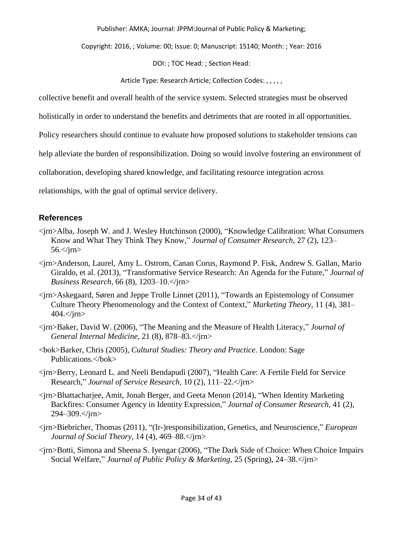Copyright: 2016, ; Volume: 00; Issue: 0; Manuscript: 15140; Month: ; Year: 2016

DOI: ; TOC Head: ; Section Head:

Article Type: Research Article; Collection Codes: , , , , ,

collective benefit and overall health of the service system. Selected strategies must be observed

holistically in order to understand the benefits and detriments that are rooted in all opportunities.

Policy researchers should continue to evaluate how proposed solutions to stakeholder tensions can

help alleviate the burden of responsibilization. Doing so would involve fostering an environment of

collaboration, developing shared knowledge, and facilitating resource integration across

relationships, with the goal of optimal service delivery.

## **References**

- <jrn>Alba, Joseph W. and J. Wesley Hutchinson (2000), "Knowledge Calibration: What Consumers Know and What They Think They Know," *Journal of Consumer Research*, 27 (2), 123– 56.</jrn>
- <jrn>Anderson, Laurel, Amy L. Ostrom, Canan Corus, Raymond P. Fisk, Andrew S. Gallan, Mario Giraldo, et al. (2013), "Transformative Service Research: An Agenda for the Future," *Journal of Business Research*, 66 (8), 1203–10.</jrn>
- <jrn>Askegaard, Søren and Jeppe Trolle Linnet (2011), "Towards an Epistemology of Consumer Culture Theory Phenomenology and the Context of Context," *Marketing Theory*, 11 (4), 381–  $404.<>$ /jm $>$
- <jrn>Baker, David W. (2006), "The Meaning and the Measure of Health Literacy," *Journal of General Internal Medicine*, 21 (8), 878–83.</jrn>
- <bok>Barker, Chris (2005), *Cultural Studies: Theory and Practice*. London: Sage Publications.</bok>
- <jrn>Berry, Leonard L. and Neeli Bendapudi (2007), "Health Care: A Fertile Field for Service Research," *Journal of Service Research*, 10 (2), 111–22.</jrn>
- <jrn>Bhattacharjee, Amit, Jonah Berger, and Geeta Menon (2014), "When Identity Marketing Backfires: Consumer Agency in Identity Expression," *Journal of Consumer Research*, 41 (2), 294–309.</jrn>
- <jrn>Biebricher, Thomas (2011), "(Ir-)responsibilization, Genetics, and Neuroscience," *European Journal of Social Theory*, 14 (4), 469–88.</jrn>
- <jrn>Botti, Simona and Sheena S. Iyengar (2006), "The Dark Side of Choice: When Choice Impairs Social Welfare," *Journal of Public Policy & Marketing*, 25 (Spring), 24–38.</jrn>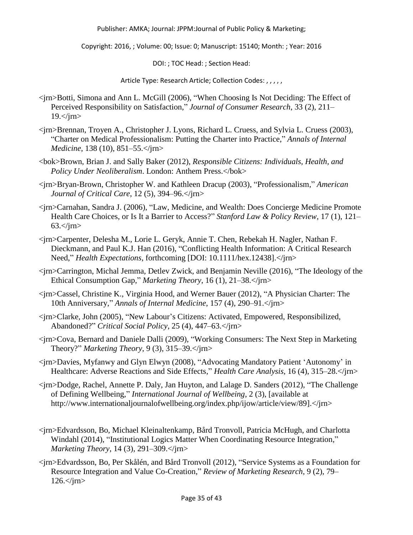Copyright: 2016, ; Volume: 00; Issue: 0; Manuscript: 15140; Month: ; Year: 2016

DOI: ; TOC Head: ; Section Head:

- <jrn>Botti, Simona and Ann L. McGill (2006), "When Choosing Is Not Deciding: The Effect of Perceived Responsibility on Satisfaction," *Journal of Consumer Research*, 33 (2), 211–  $19$ . $\text{cm}$
- <jrn>Brennan, Troyen A., Christopher J. Lyons, Richard L. Cruess, and Sylvia L. Cruess (2003), "Charter on Medical Professionalism: Putting the Charter into Practice," *Annals of Internal Medicine*, 138 (10), 851–55.</jrn>
- <bok>Brown, Brian J. and Sally Baker (2012), *Responsible Citizens: Individuals, Health, and*  Policy Under Neoliberalism. London: Anthem Press.</bok>
- <jrn>Bryan-Brown, Christopher W. and Kathleen Dracup (2003), "Professionalism," *American Journal of Critical Care*, 12 (5), 394–96.</jrn>
- <jrn>Carnahan, Sandra J. (2006), "Law, Medicine, and Wealth: Does Concierge Medicine Promote Health Care Choices, or Is It a Barrier to Access?" *Stanford Law & Policy Review*, 17 (1), 121–  $63.<\frac{\text{sim}}{\text{sim}}$
- <jrn>Carpenter, Delesha M., Lorie L. Geryk, Annie T. Chen, Rebekah H. Nagler, Nathan F. Dieckmann, and Paul K.J. Han (2016), "Conflicting Health Information: A Critical Research Need," *Health Expectations*, forthcoming [DOI: 10.1111/hex.12438].</jrn>
- <jrn>Carrington, Michal Jemma, Detlev Zwick, and Benjamin Neville (2016), "The Ideology of the Ethical Consumption Gap," *Marketing Theory*, 16 (1), 21–38.</jrn>
- <jrn>Cassel, Christine K., Virginia Hood, and Werner Bauer (2012), "A Physician Charter: The 10th Anniversary," *Annals of Internal Medicine*, 157 (4), 290–91.</jrn>
- <jrn>Clarke, John (2005), "New Labour's Citizens: Activated, Empowered, Responsibilized, Abandoned?" *Critical Social Policy*, 25 (4), 447–63.</jrn>
- <jrn>Cova, Bernard and Daniele Dalli (2009), "Working Consumers: The Next Step in Marketing Theory?" *Marketing Theory*, 9 (3), 315–39.</jrn>
- <jrn>Davies, Myfanwy and Glyn Elwyn (2008), "Advocating Mandatory Patient 'Autonomy' in Healthcare: Adverse Reactions and Side Effects," *Health Care Analysis*, 16 (4), 315–28.</jrn>
- <jrn>Dodge, Rachel, Annette P. Daly, Jan Huyton, and Lalage D. Sanders (2012), "The Challenge of Defining Wellbeing," *International Journal of Wellbeing*, 2 (3), [available at http://www.internationaljournalofwellbeing.org/index.php/ijow/article/view/89].</jrn>
- <jrn>Edvardsson, Bo, Michael Kleinaltenkamp, Bård Tronvoll, Patricia McHugh, and Charlotta Windahl (2014), "Institutional Logics Matter When Coordinating Resource Integration," *Marketing Theory*, 14 (3), 291–309.</jrn>
- <jrn>Edvardsson, Bo, Per Skålén, and Bård Tronvoll (2012), "Service Systems as a Foundation for Resource Integration and Value Co-Creation," *Review of Marketing Research*, 9 (2), 79–  $126 <$ /jm $>$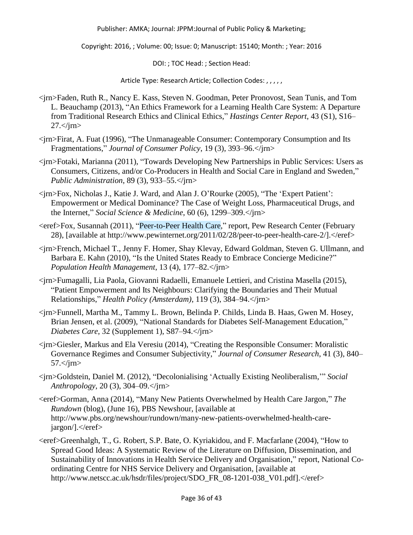Copyright: 2016, ; Volume: 00; Issue: 0; Manuscript: 15140; Month: ; Year: 2016

DOI: ; TOC Head: ; Section Head:

- <jrn>Faden, Ruth R., Nancy E. Kass, Steven N. Goodman, Peter Pronovost, Sean Tunis, and Tom L. Beauchamp (2013), "An Ethics Framework for a Learning Health Care System: A Departure from Traditional Research Ethics and Clinical Ethics," *Hastings Center Report*, 43 (S1), S16–  $27. <$ /jrn $>$
- <jrn>Firat, A. Fuat (1996), "The Unmanageable Consumer: Contemporary Consumption and Its Fragmentations," *Journal of Consumer Policy*, 19 (3), 393–96.</jrn>
- <jrn>Fotaki, Marianna (2011), "Towards Developing New Partnerships in Public Services: Users as Consumers, Citizens, and/or Co-Producers in Health and Social Care in England and Sweden," *Public Administration*, 89 (3), 933–55.</jrn>
- <jrn>Fox, Nicholas J., Katie J. Ward, and Alan J. O'Rourke (2005), "The 'Expert Patient': Empowerment or Medical Dominance? The Case of Weight Loss, Pharmaceutical Drugs, and the Internet," *Social Science & Medicine*, 60 (6), 1299–309.</jrn>
- <eref>Fox, Susannah (2011), "Peer-to-Peer Health Care," report, Pew Research Center (February 28), [available at http://www.pewinternet.org/2011/02/28/peer-to-peer-health-care-2/].</eref>
- <jrn>French, Michael T., Jenny F. Homer, Shay Klevay, Edward Goldman, Steven G. Ullmann, and Barbara E. Kahn (2010), "Is the United States Ready to Embrace Concierge Medicine?" *Population Health Management*, 13 (4), 177–82.</jrn>
- <jrn>Fumagalli, Lia Paola, Giovanni Radaelli, Emanuele Lettieri, and Cristina Masella (2015), "Patient Empowerment and Its Neighbours: Clarifying the Boundaries and Their Mutual Relationships," *Health Policy (Amsterdam)*, 119 (3), 384–94.</jrn>
- <jrn>Funnell, Martha M., Tammy L. Brown, Belinda P. Childs, Linda B. Haas, Gwen M. Hosey, Brian Jensen, et al. (2009), "National Standards for Diabetes Self-Management Education," *Diabetes Care*, 32 (Supplement 1), S87–94.</jrn>
- <jrn>Giesler, Markus and Ela Veresiu (2014), "Creating the Responsible Consumer: Moralistic Governance Regimes and Consumer Subjectivity," *Journal of Consumer Research*, 41 (3), 840–  $57.<\frac{\text{m}}{\text{m}}$
- <jrn>Goldstein, Daniel M. (2012), "Decolonialising 'Actually Existing Neoliberalism,'" *Social Anthropology*, 20 (3), 304–09.</jrn>
- <eref>Gorman, Anna (2014), "Many New Patients Overwhelmed by Health Care Jargon," *The Rundown* (blog), (June 16), PBS Newshour, [available at http://www.pbs.org/newshour/rundown/many-new-patients-overwhelmed-health-carejargon/].</eref>
- <eref>Greenhalgh, T., G. Robert, S.P. Bate, O. Kyriakidou, and F. Macfarlane (2004), "How to Spread Good Ideas: A Systematic Review of the Literature on Diffusion, Dissemination, and Sustainability of Innovations in Health Service Delivery and Organisation," report, National Coordinating Centre for NHS Service Delivery and Organisation, [available at http://www.netscc.ac.uk/hsdr/files/project/SDO\_FR\_08-1201-038\_V01.pdf].</eref>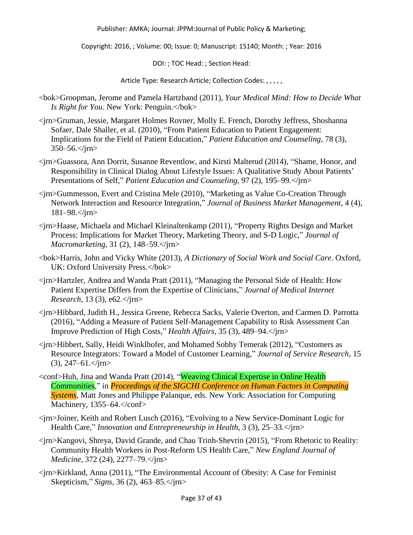Copyright: 2016, ; Volume: 00; Issue: 0; Manuscript: 15140; Month: ; Year: 2016

DOI: ; TOC Head: ; Section Head:

- <bok>Groopman, Jerome and Pamela Hartzband (2011), *Your Medical Mind: How to Decide What Is Right for You*. New York: Penguin.</bok>
- <jrn>Gruman, Jessie, Margaret Holmes Rovner, Molly E. French, Dorothy Jeffress, Shoshanna Sofaer, Dale Shaller, et al. (2010), "From Patient Education to Patient Engagement: Implications for the Field of Patient Education," *Patient Education and Counseling*, 78 (3),  $350 - 56$ .  $\text{cm}$
- <jrn>Guassora, Ann Dorrit, Susanne Reventlow, and Kirsti Malterud (2014), "Shame, Honor, and Responsibility in Clinical Dialog About Lifestyle Issues: A Qualitative Study About Patients' Presentations of Self," *Patient Education and Counseling*, 97 (2), 195–99.</jrn>
- <jrn>Gummesson, Evert and Cristina Mele (2010), "Marketing as Value Co-Creation Through Network Interaction and Resource Integration," *Journal of Business Market Management*, 4 (4), 181–98.</jrn>
- <jrn>Haase, Michaela and Michael Kleinaltenkamp (2011), "Property Rights Design and Market Process: Implications for Market Theory, Marketing Theory, and S-D Logic," *Journal of Macromarketing*, 31 (2), 148–59.</jrn>
- <bok>Harris, John and Vicky White (2013), *A Dictionary of Social Work and Social Care*. Oxford, UK: Oxford University Press.</bok>
- <jrn>Hartzler, Andrea and Wanda Pratt (2011), "Managing the Personal Side of Health: How Patient Expertise Differs from the Expertise of Clinicians," *Journal of Medical Internet Research*, 13 (3), e62.</jrn>
- <jrn>Hibbard, Judith H., Jessica Greene, Rebecca Sacks, Valerie Overton, and Carmen D. Parrotta (2016), "Adding a Measure of Patient Self-Management Capability to Risk Assessment Can Improve Prediction of High Costs," *Health Affairs*, 35 (3), 489–94.</jrn>
- <jrn>Hibbert, Sally, Heidi Winklhofer, and Mohamed Sobhy Temerak (2012), "Customers as Resource Integrators: Toward a Model of Customer Learning," *Journal of Service Research*, 15  $(3), 247-61.$   $\langle$ irn  $>$
- <conf>Huh, Jina and Wanda Pratt (2014), "Weaving Clinical Expertise in Online Health Communities," in *Proceedings of the SIGCHI Conference on Human Factors in Computing Systems*, Matt Jones and Philippe Palanque, eds. New York: Association for Computing Machinery, 1355–64.</conf>
- <jrn>Joiner, Keith and Robert Lusch (2016), "Evolving to a New Service-Dominant Logic for Health Care," *Innovation and Entrepreneurship in Health*, 3 (3), 25–33.</jrn>
- <jrn>Kangovi, Shreya, David Grande, and Chau Trinh-Shevrin (2015), "From Rhetoric to Reality: Community Health Workers in Post-Reform US Health Care," *New England Journal of Medicine*, 372 (24), 2277–79.</jrn>
- <jrn>Kirkland, Anna (2011), "The Environmental Account of Obesity: A Case for Feminist Skepticism," *Signs*, 36 (2), 463–85.</jrn>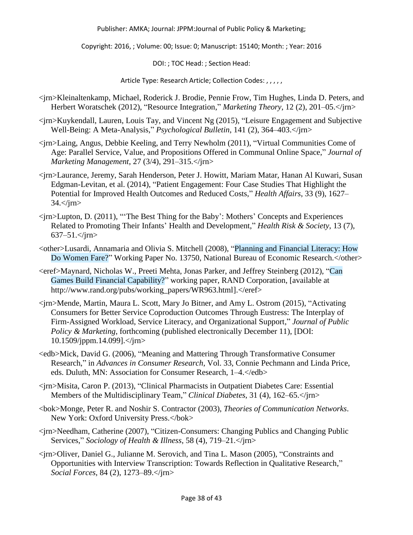Copyright: 2016, ; Volume: 00; Issue: 0; Manuscript: 15140; Month: ; Year: 2016

DOI: ; TOC Head: ; Section Head:

- <jrn>Kleinaltenkamp, Michael, Roderick J. Brodie, Pennie Frow, Tim Hughes, Linda D. Peters, and Herbert Woratschek (2012), "Resource Integration," *Marketing Theory*, 12 (2), 201–05.</jrn>
- <jrn>Kuykendall, Lauren, Louis Tay, and Vincent Ng (2015), "Leisure Engagement and Subjective Well-Being: A Meta-Analysis," *Psychological Bulletin*, 141 (2), 364–403.</jrn>
- <jrn>Laing, Angus, Debbie Keeling, and Terry Newholm (2011), "Virtual Communities Come of Age: Parallel Service, Value, and Propositions Offered in Communal Online Space," *Journal of Marketing Management*, 27 (3/4), 291–315.</jrn>
- <jrn>Laurance, Jeremy, Sarah Henderson, Peter J. Howitt, Mariam Matar, Hanan Al Kuwari, Susan Edgman-Levitan, et al. (2014), "Patient Engagement: Four Case Studies That Highlight the Potential for Improved Health Outcomes and Reduced Costs," *Health Affairs*, 33 (9), 1627–  $34 < \gamma$ jm $>$
- <jrn>Lupton, D. (2011), "'The Best Thing for the Baby': Mothers' Concepts and Experiences Related to Promoting Their Infants' Health and Development," *Health Risk & Society*, 13 (7), 637–51.</jrn>
- <other>Lusardi, Annamaria and Olivia S. Mitchell (2008), "Planning and Financial Literacy: How Do Women Fare?" Working Paper No. 13750, National Bureau of Economic Research.</other>
- <eref>Maynard, Nicholas W., Preeti Mehta, Jonas Parker, and Jeffrey Steinberg (2012), "Can Games Build Financial Capability?" working paper, RAND Corporation, [available at http://www.rand.org/pubs/working\_papers/WR963.html].</eref>
- <jrn>Mende, Martin, Maura L. Scott, Mary Jo Bitner, and Amy L. Ostrom (2015), "Activating Consumers for Better Service Coproduction Outcomes Through Eustress: The Interplay of Firm-Assigned Workload, Service Literacy, and Organizational Support," *Journal of Public Policy & Marketing*, forthcoming (published electronically December 11), [DOI: 10.1509/jppm.14.099].</jrn>
- <edb>Mick, David G. (2006), "Meaning and Mattering Through Transformative Consumer Research," in *Advances in Consumer Research*, Vol. 33, Connie Pechmann and Linda Price, eds. Duluth, MN: Association for Consumer Research, 1–4.</edb>
- <jrn>Misita, Caron P. (2013), "Clinical Pharmacists in Outpatient Diabetes Care: Essential Members of the Multidisciplinary Team," *Clinical Diabetes*, 31 (4), 162–65.</jrn>
- <bok>Monge, Peter R. and Noshir S. Contractor (2003), *Theories of Communication Networks*. New York: Oxford University Press.</bok>
- <jrn>Needham, Catherine (2007), "Citizen-Consumers: Changing Publics and Changing Public Services," *Sociology of Health & Illness*, 58 (4), 719–21.</jrn>
- <jrn>Oliver, Daniel G., Julianne M. Serovich, and Tina L. Mason (2005), "Constraints and Opportunities with Interview Transcription: Towards Reflection in Qualitative Research," *Social Forces*, 84 (2), 1273–89.</jrn>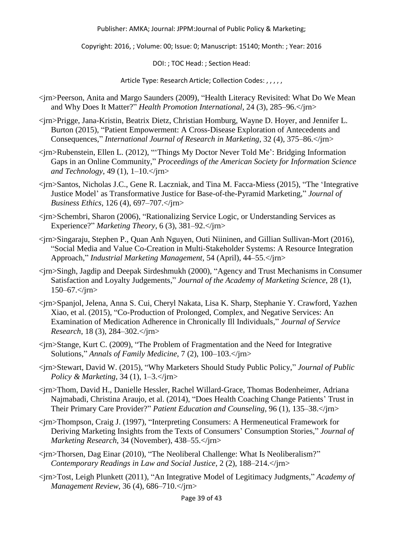Copyright: 2016, ; Volume: 00; Issue: 0; Manuscript: 15140; Month: ; Year: 2016

DOI: ; TOC Head: ; Section Head:

- <jrn>Peerson, Anita and Margo Saunders (2009), "Health Literacy Revisited: What Do We Mean and Why Does It Matter?" *Health Promotion International*, 24 (3), 285–96.</jrn>
- <jrn>Prigge, Jana-Kristin, Beatrix Dietz, Christian Homburg, Wayne D. Hoyer, and Jennifer L. Burton (2015), "Patient Empowerment: A Cross-Disease Exploration of Antecedents and Consequences," *International Journal of Research in Marketing*, 32 (4), 375–86.</jrn>
- <jrn>Rubenstein, Ellen L. (2012), "'Things My Doctor Never Told Me': Bridging Information Gaps in an Online Community," *Proceedings of the American Society for Information Science and Technology*, 49 (1), 1–10.</jrn>
- <jrn>Santos, Nicholas J.C., Gene R. Laczniak, and Tina M. Facca-Miess (2015), "The 'Integrative Justice Model' as Transformative Justice for Base-of-the-Pyramid Marketing," *Journal of Business Ethics*, 126 (4), 697–707.</jrn>
- <jrn>Schembri, Sharon (2006), "Rationalizing Service Logic, or Understanding Services as Experience?" *Marketing Theory*, 6 (3), 381–92.</jrn>
- <jrn>Singaraju, Stephen P., Quan Anh Nguyen, Outi Niininen, and Gillian Sullivan-Mort (2016), "Social Media and Value Co-Creation in Multi-Stakeholder Systems: A Resource Integration Approach," *Industrial Marketing Management*, 54 (April), 44–55.</jrn>
- <jrn>Singh, Jagdip and Deepak Sirdeshmukh (2000), "Agency and Trust Mechanisms in Consumer Satisfaction and Loyalty Judgements," *Journal of the Academy of Marketing Science*, 28 (1), 150–67.</jrn>
- <jrn>Spanjol, Jelena, Anna S. Cui, Cheryl Nakata, Lisa K. Sharp, Stephanie Y. Crawford, Yazhen Xiao, et al. (2015), "Co-Production of Prolonged, Complex, and Negative Services: An Examination of Medication Adherence in Chronically Ill Individuals," *Journal of Service Research*, 18 (3), 284–302.</jrn>
- <jrn>Stange, Kurt C. (2009), "The Problem of Fragmentation and the Need for Integrative Solutions," *Annals of Family Medicine*, 7 (2), 100–103.</jrn>
- <jrn>Stewart, David W. (2015), "Why Marketers Should Study Public Policy," *Journal of Public Policy & Marketing*, 34 (1), 1–3.</*jrn>*
- <jrn>Thom, David H., Danielle Hessler, Rachel Willard-Grace, Thomas Bodenheimer, Adriana Najmabadi, Christina Araujo, et al. (2014), "Does Health Coaching Change Patients' Trust in Their Primary Care Provider?" *Patient Education and Counseling*, 96 (1), 135–38.</jrn>
- <jrn>Thompson, Craig J. (1997), "Interpreting Consumers: A Hermeneutical Framework for Deriving Marketing Insights from the Texts of Consumers' Consumption Stories," *Journal of Marketing Research*, 34 (November), 438–55.</jrn>
- <jrn>Thorsen, Dag Einar (2010), "The Neoliberal Challenge: What Is Neoliberalism?" *Contemporary Readings in Law and Social Justice*, 2 (2), 188–214.</jrn>
- <jrn>Tost, Leigh Plunkett (2011), "An Integrative Model of Legitimacy Judgments," *Academy of Management Review*, 36 (4), 686–710.</jrn>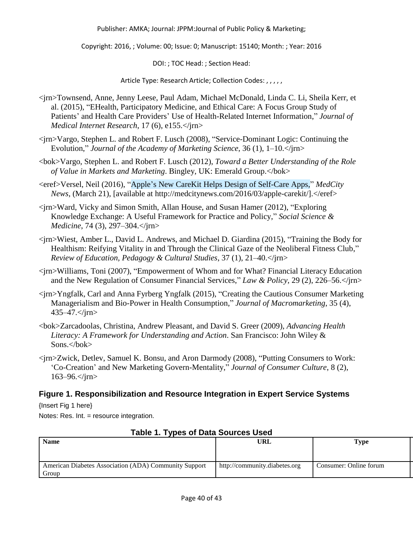Copyright: 2016, ; Volume: 00; Issue: 0; Manuscript: 15140; Month: ; Year: 2016

DOI: ; TOC Head: ; Section Head:

Article Type: Research Article; Collection Codes: , , , , ,

- <jrn>Townsend, Anne, Jenny Leese, Paul Adam, Michael McDonald, Linda C. Li, Sheila Kerr, et al. (2015), "EHealth, Participatory Medicine, and Ethical Care: A Focus Group Study of Patients' and Health Care Providers' Use of Health-Related Internet Information," *Journal of Medical Internet Research*, 17 (6), e155.</jrn>
- <jrn>Vargo, Stephen L. and Robert F. Lusch (2008), "Service-Dominant Logic: Continuing the Evolution," *Journal of the Academy of Marketing Science*, 36 (1), 1–10.</jrn>
- <bok>Vargo, Stephen L. and Robert F. Lusch (2012), *Toward a Better Understanding of the Role of Value in Markets and Marketing*. Bingley, UK: Emerald Group.</bok>

<eref>Versel, Neil (2016), "Apple's New CareKit Helps Design of Self-Care Apps," *MedCity News*, (March 21), [available at http://medcitynews.com/2016/03/apple-carekit/].</eref>

- <jrn>Ward, Vicky and Simon Smith, Allan House, and Susan Hamer (2012), "Exploring Knowledge Exchange: A Useful Framework for Practice and Policy," *Social Science & Medicine*, 74 (3), 297–304.</jrn>
- <jrn>Wiest, Amber L., David L. Andrews, and Michael D. Giardina (2015), "Training the Body for Healthism: Reifying Vitality in and Through the Clinical Gaze of the Neoliberal Fitness Club," *Review of Education, Pedagogy & Cultural Studies*, 37 (1), 21–40.</jrn>
- <jrn>Williams, Toni (2007), "Empowerment of Whom and for What? Financial Literacy Education and the New Regulation of Consumer Financial Services," *Law & Policy*, 29 (2), 226–56.</jrn>
- <jrn>Yngfalk, Carl and Anna Fyrberg Yngfalk (2015), "Creating the Cautious Consumer Marketing Managerialism and Bio-Power in Health Consumption," *Journal of Macromarketing*, 35 (4), 435–47.</jrn>
- <bok>Zarcadoolas, Christina, Andrew Pleasant, and David S. Greer (2009), *Advancing Health Literacy: A Framework for Understanding and Action*. San Francisco: John Wiley & Sons.</bok>
- <jrn>Zwick, Detlev, Samuel K. Bonsu, and Aron Darmody (2008), "Putting Consumers to Work: 'Co-Creation' and New Marketing Govern-Mentality," *Journal of Consumer Culture*, 8 (2), 163–96.</jrn>

## **Figure 1. Responsibilization and Resource Integration in Expert Service Systems**

{Insert Fig 1 here}

Notes: Res. Int. = resource integration.

| Taple 1. Types of Data Sources Oseu                            |                               |                        |  |
|----------------------------------------------------------------|-------------------------------|------------------------|--|
| <b>Name</b>                                                    | <b>URL</b>                    | Type                   |  |
|                                                                |                               |                        |  |
| American Diabetes Association (ADA) Community Support<br>Group | http://community.diabetes.org | Consumer: Online forum |  |

## **Table 1. Types of Data Sources Used**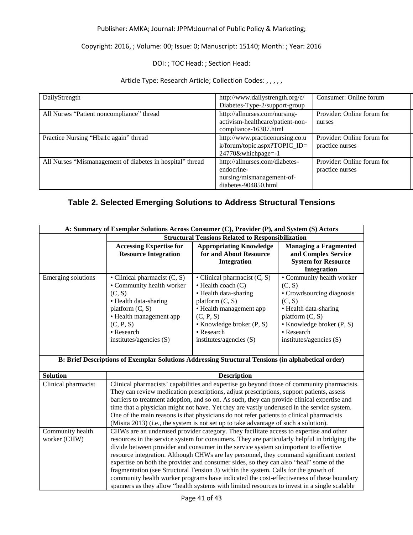### Copyright: 2016, ; Volume: 00; Issue: 0; Manuscript: 15140; Month: ; Year: 2016

### DOI: ; TOC Head: ; Section Head:

#### Article Type: Research Article; Collection Codes: , , , , ,

| DailyStrength                                             | http://www.dailystrength.org/c/  | Consumer: Online forum     |
|-----------------------------------------------------------|----------------------------------|----------------------------|
|                                                           | Diabetes-Type-2/support-group    |                            |
| All Nurses "Patient noncompliance" thread                 | http://allnurses.com/nursing-    | Provider: Online forum for |
|                                                           | activism-healthcare/patient-non- | nurses                     |
|                                                           | compliance-16387.html            |                            |
| Practice Nursing "Hba1c again" thread                     | http://www.practicenursing.co.u  | Provider: Online forum for |
|                                                           | k/forum/topic.aspx?TOPIC_ID=     | practice nurses            |
|                                                           | 24770&whichpage=-1               |                            |
| All Nurses "Mismanagement of diabetes in hospital" thread | http://allnurses.com/diabetes-   | Provider: Online forum for |
|                                                           | endocrine-                       | practice nurses            |
|                                                           | nursing/mismanagement-of-        |                            |
|                                                           | diabetes-904850.html             |                            |

## **Table 2. Selected Emerging Solutions to Address Structural Tensions**

| A: Summary of Exemplar Solutions Across Consumer (C), Provider (P), and System (S) Actors |                                                                                                                                                                                                        |                                                                                                                                                                                                                              |                                                                                                                                                                                                            |  |
|-------------------------------------------------------------------------------------------|--------------------------------------------------------------------------------------------------------------------------------------------------------------------------------------------------------|------------------------------------------------------------------------------------------------------------------------------------------------------------------------------------------------------------------------------|------------------------------------------------------------------------------------------------------------------------------------------------------------------------------------------------------------|--|
|                                                                                           | <b>Structural Tensions Related to Responsibilization</b>                                                                                                                                               |                                                                                                                                                                                                                              |                                                                                                                                                                                                            |  |
|                                                                                           | <b>Accessing Expertise for</b><br><b>Resource Integration</b>                                                                                                                                          | <b>Appropriating Knowledge</b><br>for and About Resource<br><b>Integration</b>                                                                                                                                               | <b>Managing a Fragmented</b><br>and Complex Service<br><b>System for Resource</b><br><b>Integration</b>                                                                                                    |  |
| Emerging solutions                                                                        | • Clinical pharmacist $(C, S)$<br>• Community health worker<br>(C, S)<br>• Health data-sharing<br>platform $(C, S)$<br>• Health management app<br>(C, P, S)<br>• Research<br>institutes/agencies $(S)$ | • Clinical pharmacist $(C, S)$<br>$\bullet$ Health coach $(C)$<br>• Health data-sharing<br>platform $(C, S)$<br>• Health management app<br>(C, P, S)<br>• Knowledge broker (P, S)<br>• Research<br>institutes/agencies $(S)$ | • Community health worker<br>(C, S)<br>• Crowdsourcing diagnosis<br>(C, S)<br>• Health data-sharing<br>platform $(C, S)$<br>$\bullet$ Knowledge broker $(P, S)$<br>• Research<br>institutes/agencies $(S)$ |  |

#### **B: Brief Descriptions of Exemplar Solutions Addressing Structural Tensions (in alphabetical order)**

| <b>Solution</b>                  | <b>Description</b>                                                                                                                                                                                                                                                                                                                                                                                                                                                                                                                                                                                                                                                                                                                                     |  |  |
|----------------------------------|--------------------------------------------------------------------------------------------------------------------------------------------------------------------------------------------------------------------------------------------------------------------------------------------------------------------------------------------------------------------------------------------------------------------------------------------------------------------------------------------------------------------------------------------------------------------------------------------------------------------------------------------------------------------------------------------------------------------------------------------------------|--|--|
| Clinical pharmacist              | Clinical pharmacists' capabilities and expertise go beyond those of community pharmacists.<br>They can review medication prescriptions, adjust prescriptions, support patients, assess<br>barriers to treatment adoption, and so on. As such, they can provide clinical expertise and<br>time that a physician might not have. Yet they are vastly underused in the service system.<br>One of the main reasons is that physicians do not refer patients to clinical pharmacists<br>(Misita 2013) (i.e., the system is not set up to take advantage of such a solution).                                                                                                                                                                                |  |  |
| Community health<br>worker (CHW) | CHWs are an underused provider category. They facilitate access to expertise and other<br>resources in the service system for consumers. They are particularly helpful in bridging the<br>divide between provider and consumer in the service system so important to effective<br>resource integration. Although CHWs are lay personnel, they command significant context<br>expertise on both the provider and consumer sides, so they can also "heal" some of the<br>fragmentation (see Structural Tension 3) within the system. Calls for the growth of<br>community health worker programs have indicated the cost-effectiveness of these boundary<br>spanners as they allow "health systems with limited resources to invest in a single scalable |  |  |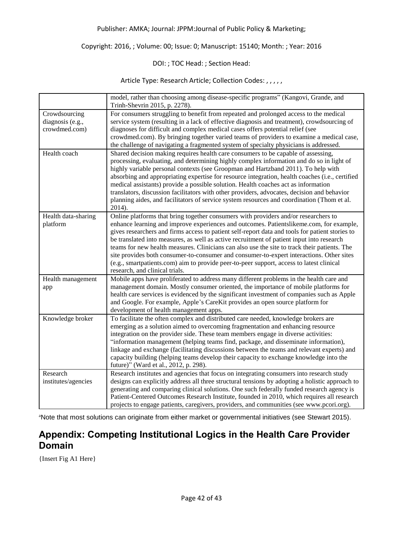#### Copyright: 2016, ; Volume: 00; Issue: 0; Manuscript: 15140; Month: ; Year: 2016

### DOI: ; TOC Head: ; Section Head:

Article Type: Research Article; Collection Codes: , , , , ,

|                                                    | model, rather than choosing among disease-specific programs" (Kangovi, Grande, and<br>Trinh-Shevrin 2015, p. 2278).                                                                                                                                                                                                                                                                                                                                                                                                                                                                                                                                                                                      |
|----------------------------------------------------|----------------------------------------------------------------------------------------------------------------------------------------------------------------------------------------------------------------------------------------------------------------------------------------------------------------------------------------------------------------------------------------------------------------------------------------------------------------------------------------------------------------------------------------------------------------------------------------------------------------------------------------------------------------------------------------------------------|
| Crowdsourcing<br>diagnosis (e.g.,<br>crowdmed.com) | For consumers struggling to benefit from repeated and prolonged access to the medical<br>service system (resulting in a lack of effective diagnosis and treatment), crowdsourcing of<br>diagnoses for difficult and complex medical cases offers potential relief (see<br>crowdmed.com). By bringing together varied teams of providers to examine a medical case,<br>the challenge of navigating a fragmented system of specialty physicians is addressed.                                                                                                                                                                                                                                              |
| Health coach                                       | Shared decision making requires health care consumers to be capable of assessing,<br>processing, evaluating, and determining highly complex information and do so in light of<br>highly variable personal contexts (see Groopman and Hartzband 2011). To help with<br>absorbing and appropriating expertise for resource integration, health coaches (i.e., certified<br>medical assistants) provide a possible solution. Health coaches act as information<br>translators, discussion facilitators with other providers, advocates, decision and behavior<br>planning aides, and facilitators of service system resources and coordination (Thom et al.<br>2014).                                       |
| Health data-sharing<br>platform                    | Online platforms that bring together consumers with providers and/or researchers to<br>enhance learning and improve experiences and outcomes. Patientslikeme.com, for example,<br>gives researchers and firms access to patient self-report data and tools for patient stories to<br>be translated into measures, as well as active recruitment of patient input into research<br>teams for new health measures. Clinicians can also use the site to track their patients. The<br>site provides both consumer-to-consumer and consumer-to-expert interactions. Other sites<br>(e.g., smartpatients.com) aim to provide peer-to-peer support, access to latest clinical<br>research, and clinical trials. |
| Health management<br>app                           | Mobile apps have proliferated to address many different problems in the health care and<br>management domain. Mostly consumer oriented, the importance of mobile platforms for<br>health care services is evidenced by the significant investment of companies such as Apple<br>and Google. For example, Apple's CareKit provides an open source platform for<br>development of health management apps.                                                                                                                                                                                                                                                                                                  |
| Knowledge broker                                   | To facilitate the often complex and distributed care needed, knowledge brokers are<br>emerging as a solution aimed to overcoming fragmentation and enhancing resource<br>integration on the provider side. These team members engage in diverse activities:<br>"information management (helping teams find, package, and disseminate information),<br>linkage and exchange (facilitating discussions between the teams and relevant experts) and<br>capacity building (helping teams develop their capacity to exchange knowledge into the<br>future)" (Ward et al., 2012, p. 298).                                                                                                                      |
| Research<br>institutes/agencies                    | Research institutes and agencies that focus on integrating consumers into research study<br>designs can explicitly address all three structural tensions by adopting a holistic approach to<br>generating and comparing clinical solutions. One such federally funded research agency is<br>Patient-Centered Outcomes Research Institute, founded in 2010, which requires all research<br>projects to engage patients, caregivers, providers, and communities (see www.pcori.org).                                                                                                                                                                                                                       |

aNote that most solutions can originate from either market or governmental initiatives (see Stewart 2015).

## **Appendix: Competing Institutional Logics in the Health Care Provider Domain**

{Insert Fig A1 Here}